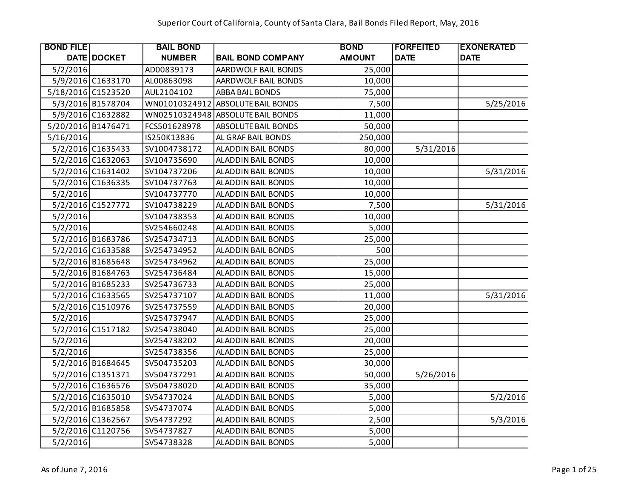| <b>BOND FILE!</b>  |                    | <b>BAIL BOND</b> |                                   | <b>BOND</b>   | <b> FORFEITED</b> | <b>EXONERATED</b> |
|--------------------|--------------------|------------------|-----------------------------------|---------------|-------------------|-------------------|
|                    | <b>DATE DOCKET</b> | <b>NUMBER</b>    | <b>BAIL BOND COMPANY</b>          | <b>AMOUNT</b> | <b>DATE</b>       | <b>DATE</b>       |
| 5/2/2016           |                    | AD00839173       | AARDWOLF BAIL BONDS               | 25,000        |                   |                   |
|                    | 5/9/2016 C1633170  | AL00863098       | AARDWOLF BAIL BONDS               | 10,000        |                   |                   |
| 5/18/2016 C1523520 |                    | AUL2104102       | ABBA BAIL BONDS                   | 75,000        |                   |                   |
|                    | 5/3/2016 B1578704  |                  | WN01010324912 ABSOLUTE BAIL BONDS | 7,500         |                   | 5/25/2016         |
|                    | 5/9/2016 C1632882  |                  | WN02510324948 ABSOLUTE BAIL BONDS | 11,000        |                   |                   |
| 5/20/2016 B1476471 |                    | FCS501628978     | <b>ABSOLUTE BAIL BONDS</b>        | 50,000        |                   |                   |
| 5/16/2016          |                    | IS250K13836      | AL GRAF BAIL BONDS                | 250,000       |                   |                   |
|                    | 5/2/2016 C1635433  | SV1004738172     | ALADDIN BAIL BONDS                | 80,000        | 5/31/2016         |                   |
|                    | 5/2/2016 C1632063  | SV104735690      | <b>ALADDIN BAIL BONDS</b>         | 10,000        |                   |                   |
|                    | 5/2/2016 C1631402  | SV104737206      | ALADDIN BAIL BONDS                | 10,000        |                   | 5/31/2016         |
|                    | 5/2/2016 C1636335  | SV104737763      | ALADDIN BAIL BONDS                | 10,000        |                   |                   |
| 5/2/2016           |                    | SV104737770      | ALADDIN BAIL BONDS                | 10,000        |                   |                   |
|                    | 5/2/2016 C1527772  | SV104738229      | <b>ALADDIN BAIL BONDS</b>         | 7,500         |                   | 5/31/2016         |
| 5/2/2016           |                    | SV104738353      | ALADDIN BAIL BONDS                | 10,000        |                   |                   |
| 5/2/2016           |                    | SV254660248      | <b>ALADDIN BAIL BONDS</b>         | 5,000         |                   |                   |
|                    | 5/2/2016 B1683786  | SV254734713      | ALADDIN BAIL BONDS                | 25,000        |                   |                   |
|                    | 5/2/2016 C1633588  | SV254734952      | <b>ALADDIN BAIL BONDS</b>         | 500           |                   |                   |
|                    | 5/2/2016 B1685648  | SV254734962      | <b>ALADDIN BAIL BONDS</b>         | 25,000        |                   |                   |
|                    | 5/2/2016 B1684763  | SV254736484      | ALADDIN BAIL BONDS                | 15,000        |                   |                   |
|                    | 5/2/2016 B1685233  | SV254736733      | <b>ALADDIN BAIL BONDS</b>         | 25,000        |                   |                   |
|                    | 5/2/2016 C1633565  | SV254737107      | ALADDIN BAIL BONDS                | 11,000        |                   | 5/31/2016         |
|                    | 5/2/2016 C1510976  | SV254737559      | ALADDIN BAIL BONDS                | 20,000        |                   |                   |
| 5/2/2016           |                    | SV254737947      | <b>ALADDIN BAIL BONDS</b>         | 25,000        |                   |                   |
|                    | 5/2/2016 C1517182  | SV254738040      | ALADDIN BAIL BONDS                | 25,000        |                   |                   |
| 5/2/2016           |                    | SV254738202      | <b>ALADDIN BAIL BONDS</b>         | 20,000        |                   |                   |
| 5/2/2016           |                    | SV254738356      | ALADDIN BAIL BONDS                | 25,000        |                   |                   |
|                    | 5/2/2016 B1684645  | SV504735203      | ALADDIN BAIL BONDS                | 30,000        |                   |                   |
|                    | 5/2/2016 C1351371  | SV504737291      | ALADDIN BAIL BONDS                | 50,000        | 5/26/2016         |                   |
|                    | 5/2/2016 C1636576  | SV504738020      | <b>ALADDIN BAIL BONDS</b>         | 35,000        |                   |                   |
|                    | 5/2/2016 C1635010  | SV54737024       | ALADDIN BAIL BONDS                | 5,000         |                   | 5/2/2016          |
|                    | 5/2/2016 B1685858  | SV54737074       | ALADDIN BAIL BONDS                | 5,000         |                   |                   |
|                    | 5/2/2016 C1362567  | SV54737292       | <b>ALADDIN BAIL BONDS</b>         | 2,500         |                   | 5/3/2016          |
|                    | 5/2/2016 C1120756  | SV54737827       | ALADDIN BAIL BONDS                | 5,000         |                   |                   |
| 5/2/2016           |                    | SV54738328       | <b>ALADDIN BAIL BONDS</b>         | 5,000         |                   |                   |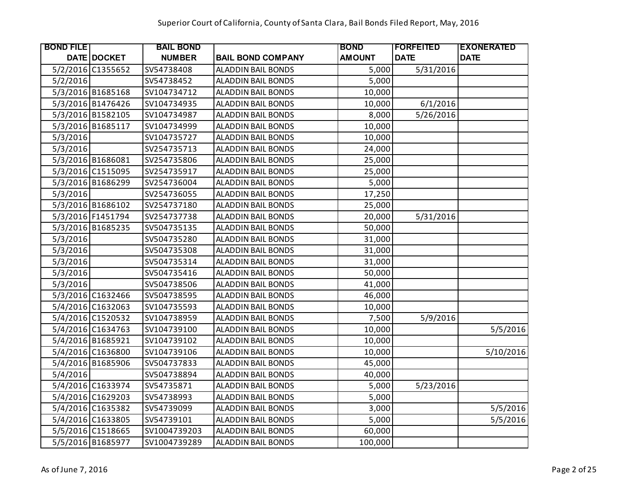| <b>BOND FILE</b> |                   | <b>BAIL BOND</b> |                           | <b>BOND</b>   | FORFEITED   | <b>EXONERATED</b> |
|------------------|-------------------|------------------|---------------------------|---------------|-------------|-------------------|
|                  | DATE DOCKET       | <b>NUMBER</b>    | <b>BAIL BOND COMPANY</b>  | <b>AMOUNT</b> | <b>DATE</b> | <b>DATE</b>       |
|                  | 5/2/2016 C1355652 | SV54738408       | ALADDIN BAIL BONDS        | 5,000         | 5/31/2016   |                   |
| 5/2/2016         |                   | SV54738452       | ALADDIN BAIL BONDS        | 5,000         |             |                   |
|                  | 5/3/2016 B1685168 | SV104734712      | ALADDIN BAIL BONDS        | 10,000        |             |                   |
|                  | 5/3/2016 B1476426 | SV104734935      | ALADDIN BAIL BONDS        | 10,000        | 6/1/2016    |                   |
|                  | 5/3/2016 B1582105 | SV104734987      | ALADDIN BAIL BONDS        | 8,000         | 5/26/2016   |                   |
|                  | 5/3/2016 B1685117 | SV104734999      | ALADDIN BAIL BONDS        | 10,000        |             |                   |
| 5/3/2016         |                   | SV104735727      | <b>ALADDIN BAIL BONDS</b> | 10,000        |             |                   |
| 5/3/2016         |                   | SV254735713      | ALADDIN BAIL BONDS        | 24,000        |             |                   |
|                  | 5/3/2016 B1686081 | SV254735806      | <b>ALADDIN BAIL BONDS</b> | 25,000        |             |                   |
|                  | 5/3/2016 C1515095 | SV254735917      | ALADDIN BAIL BONDS        | 25,000        |             |                   |
|                  | 5/3/2016 B1686299 | SV254736004      | ALADDIN BAIL BONDS        | 5,000         |             |                   |
| 5/3/2016         |                   | SV254736055      | ALADDIN BAIL BONDS        | 17,250        |             |                   |
|                  | 5/3/2016 B1686102 | SV254737180      | ALADDIN BAIL BONDS        | 25,000        |             |                   |
|                  | 5/3/2016 F1451794 | SV254737738      | ALADDIN BAIL BONDS        | 20,000        | 5/31/2016   |                   |
|                  | 5/3/2016 B1685235 | SV504735135      | ALADDIN BAIL BONDS        | 50,000        |             |                   |
| 5/3/2016         |                   | SV504735280      | ALADDIN BAIL BONDS        | 31,000        |             |                   |
| 5/3/2016         |                   | SV504735308      | ALADDIN BAIL BONDS        | 31,000        |             |                   |
| 5/3/2016         |                   | SV504735314      | ALADDIN BAIL BONDS        | 31,000        |             |                   |
| 5/3/2016         |                   | SV504735416      | <b>ALADDIN BAIL BONDS</b> | 50,000        |             |                   |
| 5/3/2016         |                   | SV504738506      | ALADDIN BAIL BONDS        | 41,000        |             |                   |
|                  | 5/3/2016 C1632466 | SV504738595      | <b>ALADDIN BAIL BONDS</b> | 46,000        |             |                   |
|                  | 5/4/2016 C1632063 | SV104735593      | ALADDIN BAIL BONDS        | 10,000        |             |                   |
|                  | 5/4/2016 C1520532 | SV104738959      | ALADDIN BAIL BONDS        | 7,500         | 5/9/2016    |                   |
|                  | 5/4/2016 C1634763 | SV104739100      | ALADDIN BAIL BONDS        | 10,000        |             | 5/5/2016          |
|                  | 5/4/2016 B1685921 | SV104739102      | ALADDIN BAIL BONDS        | 10,000        |             |                   |
|                  | 5/4/2016 C1636800 | SV104739106      | ALADDIN BAIL BONDS        | 10,000        |             | 5/10/2016         |
|                  | 5/4/2016 B1685906 | SV504737833      | ALADDIN BAIL BONDS        | 45,000        |             |                   |
| 5/4/2016         |                   | SV504738894      | ALADDIN BAIL BONDS        | 40,000        |             |                   |
|                  | 5/4/2016 C1633974 | SV54735871       | ALADDIN BAIL BONDS        | 5,000         | 5/23/2016   |                   |
|                  | 5/4/2016 C1629203 | SV54738993       | <b>ALADDIN BAIL BONDS</b> | 5,000         |             |                   |
|                  | 5/4/2016 C1635382 | SV54739099       | ALADDIN BAIL BONDS        | 3,000         |             | 5/5/2016          |
|                  | 5/4/2016 C1633805 | SV54739101       | ALADDIN BAIL BONDS        | 5,000         |             | 5/5/2016          |
|                  | 5/5/2016 C1518665 | SV1004739203     | ALADDIN BAIL BONDS        | 60,000        |             |                   |
|                  | 5/5/2016 B1685977 | SV1004739289     | <b>ALADDIN BAIL BONDS</b> | 100,000       |             |                   |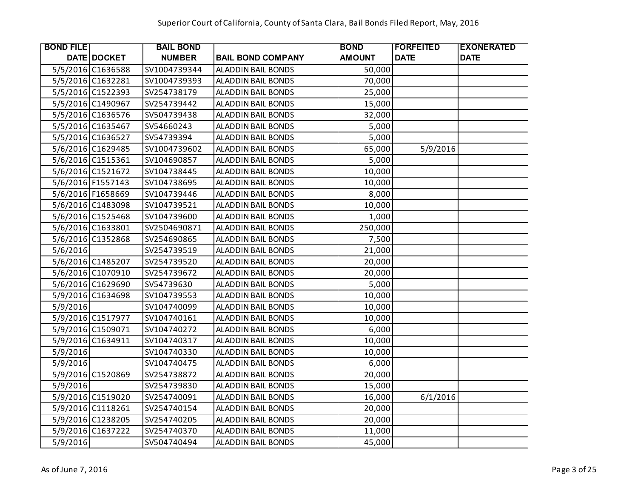| <b>BOND FILE</b> |                    | <b>BAIL BOND</b> |                           | <b>BOND</b>   | <b> FORFEITED</b> | <b>EXONERATED</b> |
|------------------|--------------------|------------------|---------------------------|---------------|-------------------|-------------------|
|                  | <b>DATE DOCKET</b> | <b>NUMBER</b>    | <b>BAIL BOND COMPANY</b>  | <b>AMOUNT</b> | <b>DATE</b>       | <b>DATE</b>       |
|                  | 5/5/2016 C1636588  | SV1004739344     | <b>ALADDIN BAIL BONDS</b> | 50,000        |                   |                   |
|                  | 5/5/2016 C1632281  | SV1004739393     | ALADDIN BAIL BONDS        | 70,000        |                   |                   |
|                  | 5/5/2016 C1522393  | SV254738179      | ALADDIN BAIL BONDS        | 25,000        |                   |                   |
|                  | 5/5/2016 C1490967  | SV254739442      | ALADDIN BAIL BONDS        | 15,000        |                   |                   |
|                  | 5/5/2016 C1636576  | SV504739438      | ALADDIN BAIL BONDS        | 32,000        |                   |                   |
|                  | 5/5/2016 C1635467  | SV54660243       | ALADDIN BAIL BONDS        | 5,000         |                   |                   |
|                  | 5/5/2016 C1636527  | SV54739394       | ALADDIN BAIL BONDS        | 5,000         |                   |                   |
|                  | 5/6/2016 C1629485  | SV1004739602     | ALADDIN BAIL BONDS        | 65,000        | 5/9/2016          |                   |
|                  | 5/6/2016 C1515361  | SV104690857      | ALADDIN BAIL BONDS        | 5,000         |                   |                   |
|                  | 5/6/2016 C1521672  | SV104738445      | ALADDIN BAIL BONDS        | 10,000        |                   |                   |
|                  | 5/6/2016 F1557143  | SV104738695      | ALADDIN BAIL BONDS        | 10,000        |                   |                   |
|                  | 5/6/2016 F1658669  | SV104739446      | ALADDIN BAIL BONDS        | 8,000         |                   |                   |
|                  | 5/6/2016 C1483098  | SV104739521      | ALADDIN BAIL BONDS        | 10,000        |                   |                   |
|                  | 5/6/2016 C1525468  | SV104739600      | ALADDIN BAIL BONDS        | 1,000         |                   |                   |
|                  | 5/6/2016 C1633801  | SV2504690871     | ALADDIN BAIL BONDS        | 250,000       |                   |                   |
|                  | 5/6/2016 C1352868  | SV254690865      | ALADDIN BAIL BONDS        | 7,500         |                   |                   |
| 5/6/2016         |                    | SV254739519      | <b>ALADDIN BAIL BONDS</b> | 21,000        |                   |                   |
|                  | 5/6/2016 C1485207  | SV254739520      | ALADDIN BAIL BONDS        | 20,000        |                   |                   |
|                  | 5/6/2016 C1070910  | SV254739672      | ALADDIN BAIL BONDS        | 20,000        |                   |                   |
|                  | 5/6/2016 C1629690  | SV54739630       | ALADDIN BAIL BONDS        | 5,000         |                   |                   |
|                  | 5/9/2016 C1634698  | SV104739553      | ALADDIN BAIL BONDS        | 10,000        |                   |                   |
| 5/9/2016         |                    | SV104740099      | ALADDIN BAIL BONDS        | 10,000        |                   |                   |
|                  | 5/9/2016 C1517977  | SV104740161      | ALADDIN BAIL BONDS        | 10,000        |                   |                   |
|                  | 5/9/2016 C1509071  | SV104740272      | ALADDIN BAIL BONDS        | 6,000         |                   |                   |
|                  | 5/9/2016 C1634911  | SV104740317      | ALADDIN BAIL BONDS        | 10,000        |                   |                   |
| 5/9/2016         |                    | SV104740330      | ALADDIN BAIL BONDS        | 10,000        |                   |                   |
| 5/9/2016         |                    | SV104740475      | ALADDIN BAIL BONDS        | 6,000         |                   |                   |
|                  | 5/9/2016 C1520869  | SV254738872      | ALADDIN BAIL BONDS        | 20,000        |                   |                   |
| 5/9/2016         |                    | SV254739830      | ALADDIN BAIL BONDS        | 15,000        |                   |                   |
|                  | 5/9/2016 C1519020  | SV254740091      | ALADDIN BAIL BONDS        | 16,000        | 6/1/2016          |                   |
|                  | 5/9/2016 C1118261  | SV254740154      | ALADDIN BAIL BONDS        | 20,000        |                   |                   |
|                  | 5/9/2016 C1238205  | SV254740205      | ALADDIN BAIL BONDS        | 20,000        |                   |                   |
|                  | 5/9/2016 C1637222  | SV254740370      | ALADDIN BAIL BONDS        | 11,000        |                   |                   |
| 5/9/2016         |                    | SV504740494      | ALADDIN BAIL BONDS        | 45,000        |                   |                   |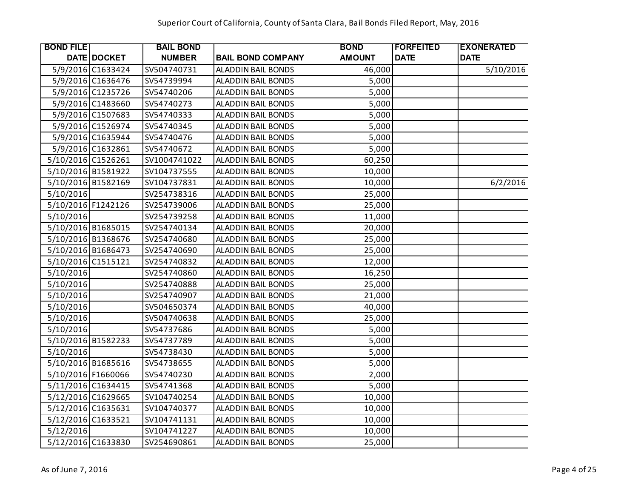| <b>BOND FILE</b>   |                   | <b>BAIL BOND</b> |                           | <b>BOND</b>   | <b> FORFEITED</b> | <b>EXONERATED</b> |
|--------------------|-------------------|------------------|---------------------------|---------------|-------------------|-------------------|
|                    | DATE DOCKET       | <b>NUMBER</b>    | <b>BAIL BOND COMPANY</b>  | <b>AMOUNT</b> | <b>DATE</b>       | <b>DATE</b>       |
|                    | 5/9/2016 C1633424 | SV504740731      | <b>ALADDIN BAIL BONDS</b> | 46,000        |                   | 5/10/2016         |
|                    | 5/9/2016 C1636476 | SV54739994       | <b>ALADDIN BAIL BONDS</b> | 5,000         |                   |                   |
|                    | 5/9/2016 C1235726 | SV54740206       | <b>ALADDIN BAIL BONDS</b> | 5,000         |                   |                   |
|                    | 5/9/2016 C1483660 | SV54740273       | <b>ALADDIN BAIL BONDS</b> | 5,000         |                   |                   |
|                    | 5/9/2016 C1507683 | SV54740333       | <b>ALADDIN BAIL BONDS</b> | 5,000         |                   |                   |
|                    | 5/9/2016 C1526974 | SV54740345       | <b>ALADDIN BAIL BONDS</b> | 5,000         |                   |                   |
|                    | 5/9/2016 C1635944 | SV54740476       | <b>ALADDIN BAIL BONDS</b> | 5,000         |                   |                   |
|                    | 5/9/2016 C1632861 | SV54740672       | ALADDIN BAIL BONDS        | 5,000         |                   |                   |
| 5/10/2016 C1526261 |                   | SV1004741022     | ALADDIN BAIL BONDS        | 60,250        |                   |                   |
| 5/10/2016 B1581922 |                   | SV104737555      | ALADDIN BAIL BONDS        | 10,000        |                   |                   |
| 5/10/2016 B1582169 |                   | SV104737831      | <b>ALADDIN BAIL BONDS</b> | 10,000        |                   | 6/2/2016          |
| 5/10/2016          |                   | SV254738316      | ALADDIN BAIL BONDS        | 25,000        |                   |                   |
| 5/10/2016 F1242126 |                   | SV254739006      | <b>ALADDIN BAIL BONDS</b> | 25,000        |                   |                   |
| 5/10/2016          |                   | SV254739258      | ALADDIN BAIL BONDS        | 11,000        |                   |                   |
| 5/10/2016 B1685015 |                   | SV254740134      | <b>ALADDIN BAIL BONDS</b> | 20,000        |                   |                   |
| 5/10/2016 B1368676 |                   | SV254740680      | <b>ALADDIN BAIL BONDS</b> | 25,000        |                   |                   |
| 5/10/2016 B1686473 |                   | SV254740690      | <b>ALADDIN BAIL BONDS</b> | 25,000        |                   |                   |
| 5/10/2016 C1515121 |                   | SV254740832      | <b>ALADDIN BAIL BONDS</b> | 12,000        |                   |                   |
| 5/10/2016          |                   | SV254740860      | <b>ALADDIN BAIL BONDS</b> | 16,250        |                   |                   |
| 5/10/2016          |                   | SV254740888      | ALADDIN BAIL BONDS        | 25,000        |                   |                   |
| 5/10/2016          |                   | SV254740907      | <b>ALADDIN BAIL BONDS</b> | 21,000        |                   |                   |
| 5/10/2016          |                   | SV504650374      | <b>ALADDIN BAIL BONDS</b> | 40,000        |                   |                   |
| 5/10/2016          |                   | SV504740638      | <b>ALADDIN BAIL BONDS</b> | 25,000        |                   |                   |
| 5/10/2016          |                   | SV54737686       | <b>ALADDIN BAIL BONDS</b> | 5,000         |                   |                   |
| 5/10/2016 B1582233 |                   | SV54737789       | <b>ALADDIN BAIL BONDS</b> | 5,000         |                   |                   |
| 5/10/2016          |                   | SV54738430       | <b>ALADDIN BAIL BONDS</b> | 5,000         |                   |                   |
| 5/10/2016 B1685616 |                   | SV54738655       | <b>ALADDIN BAIL BONDS</b> | 5,000         |                   |                   |
| 5/10/2016 F1660066 |                   | SV54740230       | <b>ALADDIN BAIL BONDS</b> | 2,000         |                   |                   |
| 5/11/2016 C1634415 |                   | SV54741368       | ALADDIN BAIL BONDS        | 5,000         |                   |                   |
| 5/12/2016 C1629665 |                   | SV104740254      | <b>ALADDIN BAIL BONDS</b> | 10,000        |                   |                   |
| 5/12/2016 C1635631 |                   | SV104740377      | ALADDIN BAIL BONDS        | 10,000        |                   |                   |
| 5/12/2016 C1633521 |                   | SV104741131      | ALADDIN BAIL BONDS        | 10,000        |                   |                   |
| 5/12/2016          |                   | SV104741227      | ALADDIN BAIL BONDS        | 10,000        |                   |                   |
| 5/12/2016 C1633830 |                   | SV254690861      | <b>ALADDIN BAIL BONDS</b> | 25,000        |                   |                   |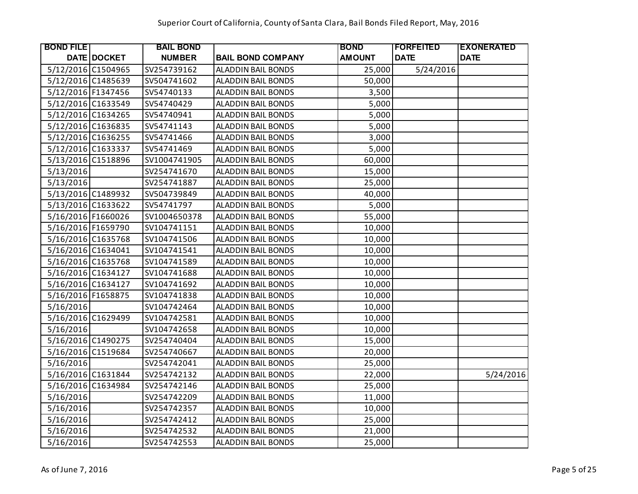| <b>BOND FILE</b>   |                    | <b>BAIL BOND</b> |                           | <b>BOND</b>   | <b> FORFEITED</b> | <b>EXONERATED</b> |
|--------------------|--------------------|------------------|---------------------------|---------------|-------------------|-------------------|
|                    | <b>DATE DOCKET</b> | <b>NUMBER</b>    | <b>BAIL BOND COMPANY</b>  | <b>AMOUNT</b> | <b>DATE</b>       | <b>DATE</b>       |
| 5/12/2016 C1504965 |                    | SV254739162      | <b>ALADDIN BAIL BONDS</b> | 25,000        | 5/24/2016         |                   |
| 5/12/2016 C1485639 |                    | SV504741602      | <b>ALADDIN BAIL BONDS</b> | 50,000        |                   |                   |
| 5/12/2016 F1347456 |                    | SV54740133       | ALADDIN BAIL BONDS        | 3,500         |                   |                   |
| 5/12/2016 C1633549 |                    | SV54740429       | <b>ALADDIN BAIL BONDS</b> | 5,000         |                   |                   |
| 5/12/2016 C1634265 |                    | SV54740941       | <b>ALADDIN BAIL BONDS</b> | 5,000         |                   |                   |
| 5/12/2016 C1636835 |                    | SV54741143       | ALADDIN BAIL BONDS        | 5,000         |                   |                   |
| 5/12/2016 C1636255 |                    | SV54741466       | ALADDIN BAIL BONDS        | 3,000         |                   |                   |
| 5/12/2016 C1633337 |                    | SV54741469       | <b>ALADDIN BAIL BONDS</b> | 5,000         |                   |                   |
| 5/13/2016 C1518896 |                    | SV1004741905     | <b>ALADDIN BAIL BONDS</b> | 60,000        |                   |                   |
| 5/13/2016          |                    | SV254741670      | ALADDIN BAIL BONDS        | 15,000        |                   |                   |
| 5/13/2016          |                    | SV254741887      | <b>ALADDIN BAIL BONDS</b> | 25,000        |                   |                   |
| 5/13/2016 C1489932 |                    | SV504739849      | <b>ALADDIN BAIL BONDS</b> | 40,000        |                   |                   |
| 5/13/2016 C1633622 |                    | SV54741797       | <b>ALADDIN BAIL BONDS</b> | 5,000         |                   |                   |
| 5/16/2016 F1660026 |                    | SV1004650378     | ALADDIN BAIL BONDS        | 55,000        |                   |                   |
| 5/16/2016 F1659790 |                    | SV104741151      | ALADDIN BAIL BONDS        | 10,000        |                   |                   |
| 5/16/2016 C1635768 |                    | SV104741506      | <b>ALADDIN BAIL BONDS</b> | 10,000        |                   |                   |
| 5/16/2016 C1634041 |                    | SV104741541      | ALADDIN BAIL BONDS        | 10,000        |                   |                   |
| 5/16/2016 C1635768 |                    | SV104741589      | <b>ALADDIN BAIL BONDS</b> | 10,000        |                   |                   |
| 5/16/2016 C1634127 |                    | SV104741688      | ALADDIN BAIL BONDS        | 10,000        |                   |                   |
| 5/16/2016 C1634127 |                    | SV104741692      | <b>ALADDIN BAIL BONDS</b> | 10,000        |                   |                   |
| 5/16/2016 F1658875 |                    | SV104741838      | <b>ALADDIN BAIL BONDS</b> | 10,000        |                   |                   |
| 5/16/2016          |                    | SV104742464      | ALADDIN BAIL BONDS        | 10,000        |                   |                   |
| 5/16/2016 C1629499 |                    | SV104742581      | <b>ALADDIN BAIL BONDS</b> | 10,000        |                   |                   |
| 5/16/2016          |                    | SV104742658      | <b>ALADDIN BAIL BONDS</b> | 10,000        |                   |                   |
| 5/16/2016 C1490275 |                    | SV254740404      | <b>ALADDIN BAIL BONDS</b> | 15,000        |                   |                   |
| 5/16/2016 C1519684 |                    | SV254740667      | <b>ALADDIN BAIL BONDS</b> | 20,000        |                   |                   |
| 5/16/2016          |                    | SV254742041      | <b>ALADDIN BAIL BONDS</b> | 25,000        |                   |                   |
| 5/16/2016 C1631844 |                    | SV254742132      | <b>ALADDIN BAIL BONDS</b> | 22,000        |                   | 5/24/2016         |
| 5/16/2016 C1634984 |                    | SV254742146      | <b>ALADDIN BAIL BONDS</b> | 25,000        |                   |                   |
| 5/16/2016          |                    | SV254742209      | <b>ALADDIN BAIL BONDS</b> | 11,000        |                   |                   |
| 5/16/2016          |                    | SV254742357      | ALADDIN BAIL BONDS        | 10,000        |                   |                   |
| 5/16/2016          |                    | SV254742412      | <b>ALADDIN BAIL BONDS</b> | 25,000        |                   |                   |
| 5/16/2016          |                    | SV254742532      | ALADDIN BAIL BONDS        | 21,000        |                   |                   |
| 5/16/2016          |                    | SV254742553      | <b>ALADDIN BAIL BONDS</b> | 25,000        |                   |                   |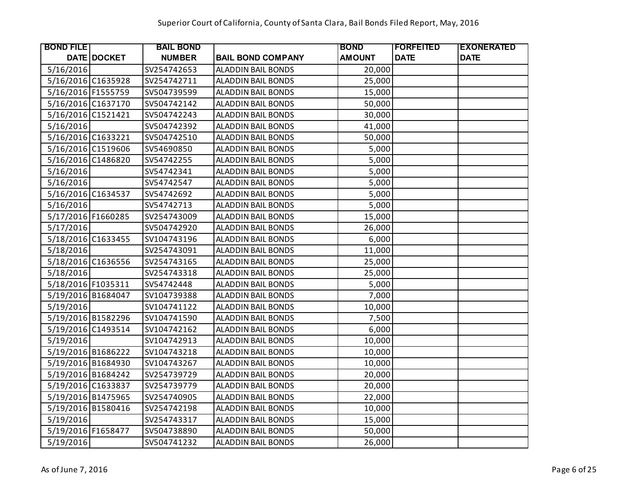| <b>BOND FILE</b>   |                    | <b>BAIL BOND</b> |                           | <b>BOND</b>   | <b> FORFEITED</b> | <b>EXONERATED</b> |
|--------------------|--------------------|------------------|---------------------------|---------------|-------------------|-------------------|
|                    | <b>DATE DOCKET</b> | <b>NUMBER</b>    | <b>BAIL BOND COMPANY</b>  | <b>AMOUNT</b> | <b>DATE</b>       | <b>DATE</b>       |
| 5/16/2016          |                    | SV254742653      | <b>ALADDIN BAIL BONDS</b> | 20,000        |                   |                   |
| 5/16/2016 C1635928 |                    | SV254742711      | <b>ALADDIN BAIL BONDS</b> | 25,000        |                   |                   |
| 5/16/2016 F1555759 |                    | SV504739599      | <b>ALADDIN BAIL BONDS</b> | 15,000        |                   |                   |
| 5/16/2016 C1637170 |                    | SV504742142      | <b>ALADDIN BAIL BONDS</b> | 50,000        |                   |                   |
| 5/16/2016 C1521421 |                    | SV504742243      | <b>ALADDIN BAIL BONDS</b> | 30,000        |                   |                   |
| 5/16/2016          |                    | SV504742392      | <b>ALADDIN BAIL BONDS</b> | 41,000        |                   |                   |
| 5/16/2016 C1633221 |                    | SV504742510      | <b>ALADDIN BAIL BONDS</b> | 50,000        |                   |                   |
| 5/16/2016 C1519606 |                    | SV54690850       | <b>ALADDIN BAIL BONDS</b> | 5,000         |                   |                   |
| 5/16/2016 C1486820 |                    | SV54742255       | <b>ALADDIN BAIL BONDS</b> | 5,000         |                   |                   |
| 5/16/2016          |                    | SV54742341       | <b>ALADDIN BAIL BONDS</b> | 5,000         |                   |                   |
| 5/16/2016          |                    | SV54742547       | <b>ALADDIN BAIL BONDS</b> | 5,000         |                   |                   |
| 5/16/2016 C1634537 |                    | SV54742692       | <b>ALADDIN BAIL BONDS</b> | 5,000         |                   |                   |
| 5/16/2016          |                    | SV54742713       | <b>ALADDIN BAIL BONDS</b> | 5,000         |                   |                   |
| 5/17/2016 F1660285 |                    | SV254743009      | <b>ALADDIN BAIL BONDS</b> | 15,000        |                   |                   |
| 5/17/2016          |                    | SV504742920      | <b>ALADDIN BAIL BONDS</b> | 26,000        |                   |                   |
| 5/18/2016 C1633455 |                    | SV104743196      | ALADDIN BAIL BONDS        | 6,000         |                   |                   |
| 5/18/2016          |                    | SV254743091      | <b>ALADDIN BAIL BONDS</b> | 11,000        |                   |                   |
| 5/18/2016 C1636556 |                    | SV254743165      | <b>ALADDIN BAIL BONDS</b> | 25,000        |                   |                   |
| 5/18/2016          |                    | SV254743318      | <b>ALADDIN BAIL BONDS</b> | 25,000        |                   |                   |
| 5/18/2016 F1035311 |                    | SV54742448       | <b>ALADDIN BAIL BONDS</b> | 5,000         |                   |                   |
| 5/19/2016 B1684047 |                    | SV104739388      | <b>ALADDIN BAIL BONDS</b> | 7,000         |                   |                   |
| 5/19/2016          |                    | SV104741122      | <b>ALADDIN BAIL BONDS</b> | 10,000        |                   |                   |
| 5/19/2016 B1582296 |                    | SV104741590      | <b>ALADDIN BAIL BONDS</b> | 7,500         |                   |                   |
| 5/19/2016 C1493514 |                    | SV104742162      | <b>ALADDIN BAIL BONDS</b> | 6,000         |                   |                   |
| 5/19/2016          |                    | SV104742913      | <b>ALADDIN BAIL BONDS</b> | 10,000        |                   |                   |
| 5/19/2016 B1686222 |                    | SV104743218      | <b>ALADDIN BAIL BONDS</b> | 10,000        |                   |                   |
| 5/19/2016 B1684930 |                    | SV104743267      | <b>ALADDIN BAIL BONDS</b> | 10,000        |                   |                   |
| 5/19/2016 B1684242 |                    | SV254739729      | <b>ALADDIN BAIL BONDS</b> | 20,000        |                   |                   |
| 5/19/2016 C1633837 |                    | SV254739779      | <b>ALADDIN BAIL BONDS</b> | 20,000        |                   |                   |
| 5/19/2016 B1475965 |                    | SV254740905      | <b>ALADDIN BAIL BONDS</b> | 22,000        |                   |                   |
| 5/19/2016 B1580416 |                    | SV254742198      | <b>ALADDIN BAIL BONDS</b> | 10,000        |                   |                   |
| 5/19/2016          |                    | SV254743317      | <b>ALADDIN BAIL BONDS</b> | 15,000        |                   |                   |
| 5/19/2016 F1658477 |                    | SV504738890      | ALADDIN BAIL BONDS        | 50,000        |                   |                   |
| 5/19/2016          |                    | SV504741232      | <b>ALADDIN BAIL BONDS</b> | 26,000        |                   |                   |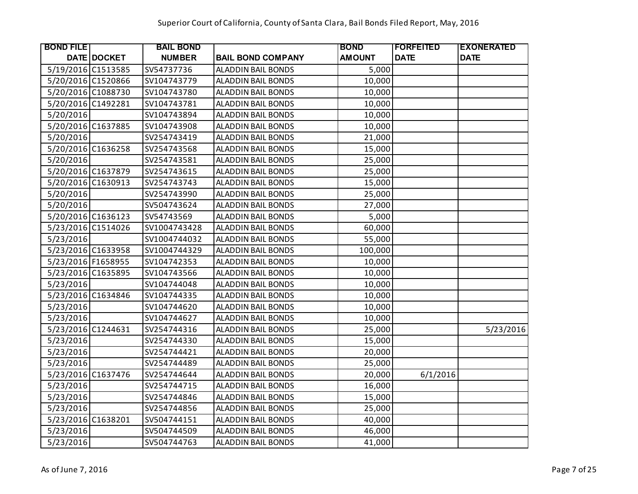| <b>BOND FILE</b>   |             | <b>BAIL BOND</b> |                           | <b>BOND</b>   | <b> FORFEITED</b> | <b>EXONERATED</b> |
|--------------------|-------------|------------------|---------------------------|---------------|-------------------|-------------------|
|                    | DATE DOCKET | <b>NUMBER</b>    | <b>BAIL BOND COMPANY</b>  | <b>AMOUNT</b> | <b>DATE</b>       | <b>DATE</b>       |
| 5/19/2016 C1513585 |             | SV54737736       | <b>ALADDIN BAIL BONDS</b> | 5,000         |                   |                   |
| 5/20/2016 C1520866 |             | SV104743779      | <b>ALADDIN BAIL BONDS</b> | 10,000        |                   |                   |
| 5/20/2016 C1088730 |             | SV104743780      | <b>ALADDIN BAIL BONDS</b> | 10,000        |                   |                   |
| 5/20/2016 C1492281 |             | SV104743781      | <b>ALADDIN BAIL BONDS</b> | 10,000        |                   |                   |
| 5/20/2016          |             | SV104743894      | <b>ALADDIN BAIL BONDS</b> | 10,000        |                   |                   |
| 5/20/2016 C1637885 |             | SV104743908      | <b>ALADDIN BAIL BONDS</b> | 10,000        |                   |                   |
| 5/20/2016          |             | SV254743419      | ALADDIN BAIL BONDS        | 21,000        |                   |                   |
| 5/20/2016 C1636258 |             | SV254743568      | ALADDIN BAIL BONDS        | 15,000        |                   |                   |
| 5/20/2016          |             | SV254743581      | <b>ALADDIN BAIL BONDS</b> | 25,000        |                   |                   |
| 5/20/2016 C1637879 |             | SV254743615      | ALADDIN BAIL BONDS        | 25,000        |                   |                   |
| 5/20/2016 C1630913 |             | SV254743743      | ALADDIN BAIL BONDS        | 15,000        |                   |                   |
| 5/20/2016          |             | SV254743990      | <b>ALADDIN BAIL BONDS</b> | 25,000        |                   |                   |
| 5/20/2016          |             | SV504743624      | <b>ALADDIN BAIL BONDS</b> | 27,000        |                   |                   |
| 5/20/2016 C1636123 |             | SV54743569       | <b>ALADDIN BAIL BONDS</b> | 5,000         |                   |                   |
| 5/23/2016 C1514026 |             | SV1004743428     | <b>ALADDIN BAIL BONDS</b> | 60,000        |                   |                   |
| 5/23/2016          |             | SV1004744032     | ALADDIN BAIL BONDS        | 55,000        |                   |                   |
| 5/23/2016 C1633958 |             | SV1004744329     | <b>ALADDIN BAIL BONDS</b> | 100,000       |                   |                   |
| 5/23/2016 F1658955 |             | SV104742353      | <b>ALADDIN BAIL BONDS</b> | 10,000        |                   |                   |
| 5/23/2016 C1635895 |             | SV104743566      | <b>ALADDIN BAIL BONDS</b> | 10,000        |                   |                   |
| 5/23/2016          |             | SV104744048      | <b>ALADDIN BAIL BONDS</b> | 10,000        |                   |                   |
| 5/23/2016 C1634846 |             | SV104744335      | ALADDIN BAIL BONDS        | 10,000        |                   |                   |
| 5/23/2016          |             | SV104744620      | <b>ALADDIN BAIL BONDS</b> | 10,000        |                   |                   |
| 5/23/2016          |             | SV104744627      | <b>ALADDIN BAIL BONDS</b> | 10,000        |                   |                   |
| 5/23/2016 C1244631 |             | SV254744316      | ALADDIN BAIL BONDS        | 25,000        |                   | 5/23/2016         |
| 5/23/2016          |             | SV254744330      | <b>ALADDIN BAIL BONDS</b> | 15,000        |                   |                   |
| 5/23/2016          |             | SV254744421      | ALADDIN BAIL BONDS        | 20,000        |                   |                   |
| 5/23/2016          |             | SV254744489      | <b>ALADDIN BAIL BONDS</b> | 25,000        |                   |                   |
| 5/23/2016 C1637476 |             | SV254744644      | <b>ALADDIN BAIL BONDS</b> | 20,000        | 6/1/2016          |                   |
| 5/23/2016          |             | SV254744715      | <b>ALADDIN BAIL BONDS</b> | 16,000        |                   |                   |
| 5/23/2016          |             | SV254744846      | <b>ALADDIN BAIL BONDS</b> | 15,000        |                   |                   |
| 5/23/2016          |             | SV254744856      | <b>ALADDIN BAIL BONDS</b> | 25,000        |                   |                   |
| 5/23/2016 C1638201 |             | SV504744151      | ALADDIN BAIL BONDS        | 40,000        |                   |                   |
| 5/23/2016          |             | SV504744509      | <b>ALADDIN BAIL BONDS</b> | 46,000        |                   |                   |
| 5/23/2016          |             | SV504744763      | <b>ALADDIN BAIL BONDS</b> | 41,000        |                   |                   |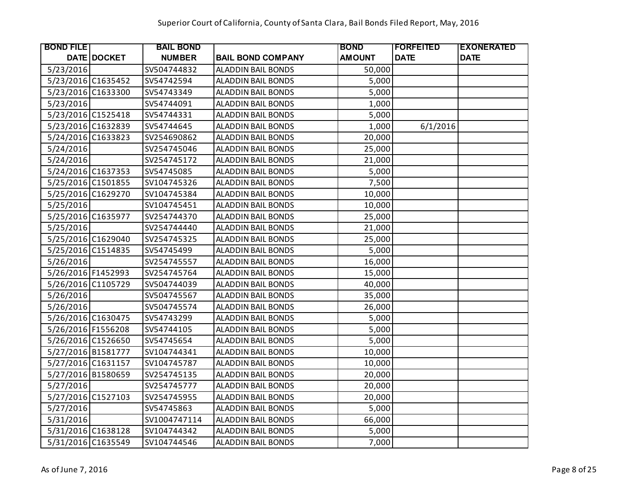| <b>BOND FILE</b>   |                    | <b>BAIL BOND</b> |                           | <b>BOND</b>   | <b> FORFEITED</b> | <b>EXONERATED</b> |
|--------------------|--------------------|------------------|---------------------------|---------------|-------------------|-------------------|
|                    | <b>DATE DOCKET</b> | <b>NUMBER</b>    | <b>BAIL BOND COMPANY</b>  | <b>AMOUNT</b> | <b>DATE</b>       | <b>DATE</b>       |
| 5/23/2016          |                    | SV504744832      | ALADDIN BAIL BONDS        | 50,000        |                   |                   |
| 5/23/2016 C1635452 |                    | SV54742594       | <b>ALADDIN BAIL BONDS</b> | 5,000         |                   |                   |
| 5/23/2016 C1633300 |                    | SV54743349       | <b>ALADDIN BAIL BONDS</b> | 5,000         |                   |                   |
| 5/23/2016          |                    | SV54744091       | <b>ALADDIN BAIL BONDS</b> | 1,000         |                   |                   |
| 5/23/2016 C1525418 |                    | SV54744331       | <b>ALADDIN BAIL BONDS</b> | 5,000         |                   |                   |
| 5/23/2016 C1632839 |                    | SV54744645       | <b>ALADDIN BAIL BONDS</b> | 1,000         | 6/1/2016          |                   |
| 5/24/2016 C1633823 |                    | SV254690862      | ALADDIN BAIL BONDS        | 20,000        |                   |                   |
| 5/24/2016          |                    | SV254745046      | ALADDIN BAIL BONDS        | 25,000        |                   |                   |
| 5/24/2016          |                    | SV254745172      | <b>ALADDIN BAIL BONDS</b> | 21,000        |                   |                   |
| 5/24/2016 C1637353 |                    | SV54745085       | ALADDIN BAIL BONDS        | 5,000         |                   |                   |
| 5/25/2016 C1501855 |                    | SV104745326      | ALADDIN BAIL BONDS        | 7,500         |                   |                   |
| 5/25/2016 C1629270 |                    | SV104745384      | <b>ALADDIN BAIL BONDS</b> | 10,000        |                   |                   |
| 5/25/2016          |                    | SV104745451      | ALADDIN BAIL BONDS        | 10,000        |                   |                   |
| 5/25/2016 C1635977 |                    | SV254744370      | <b>ALADDIN BAIL BONDS</b> | 25,000        |                   |                   |
| 5/25/2016          |                    | SV254744440      | <b>ALADDIN BAIL BONDS</b> | 21,000        |                   |                   |
| 5/25/2016 C1629040 |                    | SV254745325      | ALADDIN BAIL BONDS        | 25,000        |                   |                   |
| 5/25/2016 C1514835 |                    | SV54745499       | <b>ALADDIN BAIL BONDS</b> | 5,000         |                   |                   |
| 5/26/2016          |                    | SV254745557      | ALADDIN BAIL BONDS        | 16,000        |                   |                   |
| 5/26/2016 F1452993 |                    | SV254745764      | <b>ALADDIN BAIL BONDS</b> | 15,000        |                   |                   |
| 5/26/2016 C1105729 |                    | SV504744039      | <b>ALADDIN BAIL BONDS</b> | 40,000        |                   |                   |
| 5/26/2016          |                    | SV504745567      | ALADDIN BAIL BONDS        | 35,000        |                   |                   |
| 5/26/2016          |                    | SV504745574      | <b>ALADDIN BAIL BONDS</b> | 26,000        |                   |                   |
| 5/26/2016 C1630475 |                    | SV54743299       | <b>ALADDIN BAIL BONDS</b> | 5,000         |                   |                   |
| 5/26/2016 F1556208 |                    | SV54744105       | ALADDIN BAIL BONDS        | 5,000         |                   |                   |
| 5/26/2016 C1526650 |                    | SV54745654       | <b>ALADDIN BAIL BONDS</b> | 5,000         |                   |                   |
| 5/27/2016 B1581777 |                    | SV104744341      | ALADDIN BAIL BONDS        | 10,000        |                   |                   |
| 5/27/2016 C1631157 |                    | SV104745787      | <b>ALADDIN BAIL BONDS</b> | 10,000        |                   |                   |
| 5/27/2016 B1580659 |                    | SV254745135      | <b>ALADDIN BAIL BONDS</b> | 20,000        |                   |                   |
| 5/27/2016          |                    | SV254745777      | <b>ALADDIN BAIL BONDS</b> | 20,000        |                   |                   |
| 5/27/2016 C1527103 |                    | SV254745955      | <b>ALADDIN BAIL BONDS</b> | 20,000        |                   |                   |
| 5/27/2016          |                    | SV54745863       | <b>ALADDIN BAIL BONDS</b> | 5,000         |                   |                   |
| 5/31/2016          |                    | SV1004747114     | ALADDIN BAIL BONDS        | 66,000        |                   |                   |
| 5/31/2016 C1638128 |                    | SV104744342      | ALADDIN BAIL BONDS        | 5,000         |                   |                   |
| 5/31/2016 C1635549 |                    | SV104744546      | <b>ALADDIN BAIL BONDS</b> | 7,000         |                   |                   |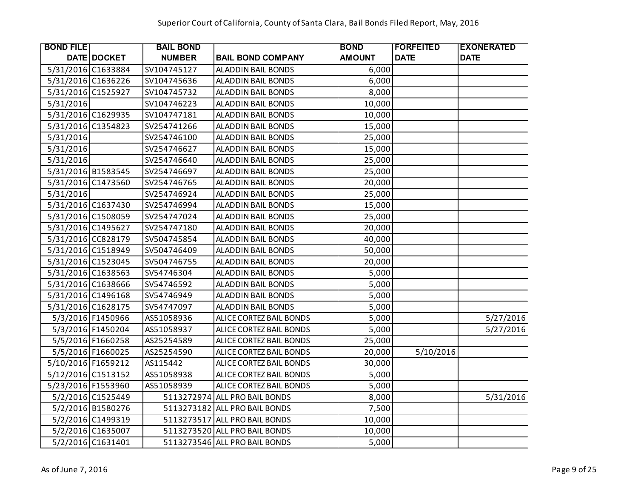| <b>BOND FILE</b>   |                    | <b>BAIL BOND</b> |                               | <b>BOND</b>   | <b> FORFEITED</b> | <b>EXONERATED</b> |
|--------------------|--------------------|------------------|-------------------------------|---------------|-------------------|-------------------|
|                    | <b>DATE DOCKET</b> | <b>NUMBER</b>    | <b>BAIL BOND COMPANY</b>      | <b>AMOUNT</b> | <b>DATE</b>       | <b>DATE</b>       |
| 5/31/2016 C1633884 |                    | SV104745127      | <b>ALADDIN BAIL BONDS</b>     | 6,000         |                   |                   |
| 5/31/2016 C1636226 |                    | SV104745636      | <b>ALADDIN BAIL BONDS</b>     | 6,000         |                   |                   |
| 5/31/2016 C1525927 |                    | SV104745732      | <b>ALADDIN BAIL BONDS</b>     | 8,000         |                   |                   |
| 5/31/2016          |                    | SV104746223      | <b>ALADDIN BAIL BONDS</b>     | 10,000        |                   |                   |
| 5/31/2016 C1629935 |                    | SV104747181      | <b>ALADDIN BAIL BONDS</b>     | 10,000        |                   |                   |
| 5/31/2016 C1354823 |                    | SV254741266      | <b>ALADDIN BAIL BONDS</b>     | 15,000        |                   |                   |
| 5/31/2016          |                    | SV254746100      | ALADDIN BAIL BONDS            | 25,000        |                   |                   |
| 5/31/2016          |                    | SV254746627      | ALADDIN BAIL BONDS            | 15,000        |                   |                   |
| 5/31/2016          |                    | SV254746640      | <b>ALADDIN BAIL BONDS</b>     | 25,000        |                   |                   |
| 5/31/2016 B1583545 |                    | SV254746697      | ALADDIN BAIL BONDS            | 25,000        |                   |                   |
| 5/31/2016 C1473560 |                    | SV254746765      | ALADDIN BAIL BONDS            | 20,000        |                   |                   |
| 5/31/2016          |                    | SV254746924      | ALADDIN BAIL BONDS            | 25,000        |                   |                   |
| 5/31/2016 C1637430 |                    | SV254746994      | <b>ALADDIN BAIL BONDS</b>     | 15,000        |                   |                   |
| 5/31/2016 C1508059 |                    | SV254747024      | <b>ALADDIN BAIL BONDS</b>     | 25,000        |                   |                   |
| 5/31/2016 C1495627 |                    | SV254747180      | <b>ALADDIN BAIL BONDS</b>     | 20,000        |                   |                   |
| 5/31/2016 CC828179 |                    | SV504745854      | ALADDIN BAIL BONDS            | 40,000        |                   |                   |
| 5/31/2016 C1518949 |                    | SV504746409      | <b>ALADDIN BAIL BONDS</b>     | 50,000        |                   |                   |
| 5/31/2016 C1523045 |                    | SV504746755      | <b>ALADDIN BAIL BONDS</b>     | 20,000        |                   |                   |
| 5/31/2016 C1638563 |                    | SV54746304       | <b>ALADDIN BAIL BONDS</b>     | 5,000         |                   |                   |
| 5/31/2016 C1638666 |                    | SV54746592       | <b>ALADDIN BAIL BONDS</b>     | 5,000         |                   |                   |
| 5/31/2016 C1496168 |                    | SV54746949       | <b>ALADDIN BAIL BONDS</b>     | 5,000         |                   |                   |
| 5/31/2016 C1628175 |                    | SV54747097       | <b>ALADDIN BAIL BONDS</b>     | 5,000         |                   |                   |
|                    | 5/3/2016 F1450966  | AS51058936       | ALICE CORTEZ BAIL BONDS       | 5,000         |                   | 5/27/2016         |
|                    | 5/3/2016 F1450204  | AS51058937       | ALICE CORTEZ BAIL BONDS       | 5,000         |                   | 5/27/2016         |
|                    | 5/5/2016 F1660258  | AS25254589       | ALICE CORTEZ BAIL BONDS       | 25,000        |                   |                   |
|                    | 5/5/2016 F1660025  | AS25254590       | ALICE CORTEZ BAIL BONDS       | 20,000        | 5/10/2016         |                   |
| 5/10/2016 F1659212 |                    | AS115442         | ALICE CORTEZ BAIL BONDS       | 30,000        |                   |                   |
| 5/12/2016 C1513152 |                    | AS51058938       | ALICE CORTEZ BAIL BONDS       | 5,000         |                   |                   |
| 5/23/2016 F1553960 |                    | AS51058939       | ALICE CORTEZ BAIL BONDS       | 5,000         |                   |                   |
|                    | 5/2/2016 C1525449  |                  | 5113272974 ALL PRO BAIL BONDS | 8,000         |                   | 5/31/2016         |
|                    | 5/2/2016 B1580276  |                  | 5113273182 ALL PRO BAIL BONDS | 7,500         |                   |                   |
|                    | 5/2/2016 C1499319  |                  | 5113273517 ALL PRO BAIL BONDS | 10,000        |                   |                   |
|                    | 5/2/2016 C1635007  |                  | 5113273520 ALL PRO BAIL BONDS | 10,000        |                   |                   |
|                    | 5/2/2016 C1631401  |                  | 5113273546 ALL PRO BAIL BONDS | 5,000         |                   |                   |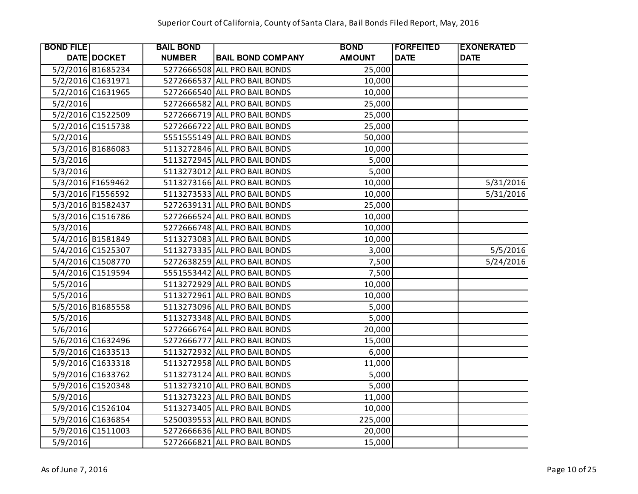| <b>BOND FILE</b> |                   | <b>BAIL BOND</b> |                               | <b>BOND</b>   | <b> FORFEITED</b> | <b>EXONERATED</b> |
|------------------|-------------------|------------------|-------------------------------|---------------|-------------------|-------------------|
|                  | DATE DOCKET       | <b>NUMBER</b>    | <b>BAIL BOND COMPANY</b>      | <b>AMOUNT</b> | <b>DATE</b>       | <b>DATE</b>       |
|                  | 5/2/2016 B1685234 |                  | 5272666508 ALL PRO BAIL BONDS | 25,000        |                   |                   |
|                  | 5/2/2016 C1631971 |                  | 5272666537 ALL PRO BAIL BONDS | 10,000        |                   |                   |
|                  | 5/2/2016 C1631965 |                  | 5272666540 ALL PRO BAIL BONDS | 10,000        |                   |                   |
| 5/2/2016         |                   |                  | 5272666582 ALL PRO BAIL BONDS | 25,000        |                   |                   |
|                  | 5/2/2016 C1522509 |                  | 5272666719 ALL PRO BAIL BONDS | 25,000        |                   |                   |
|                  | 5/2/2016 C1515738 |                  | 5272666722 ALL PRO BAIL BONDS | 25,000        |                   |                   |
| 5/2/2016         |                   |                  | 5551555149 ALL PRO BAIL BONDS | 50,000        |                   |                   |
|                  | 5/3/2016 B1686083 |                  | 5113272846 ALL PRO BAIL BONDS | 10,000        |                   |                   |
| 5/3/2016         |                   |                  | 5113272945 ALL PRO BAIL BONDS | 5,000         |                   |                   |
| 5/3/2016         |                   |                  | 5113273012 ALL PRO BAIL BONDS | 5,000         |                   |                   |
|                  | 5/3/2016 F1659462 |                  | 5113273166 ALL PRO BAIL BONDS | 10,000        |                   | 5/31/2016         |
|                  | 5/3/2016 F1556592 |                  | 5113273533 ALL PRO BAIL BONDS | 10,000        |                   | 5/31/2016         |
|                  | 5/3/2016 B1582437 |                  | 5272639131 ALL PRO BAIL BONDS | 25,000        |                   |                   |
|                  | 5/3/2016 C1516786 |                  | 5272666524 ALL PRO BAIL BONDS | 10,000        |                   |                   |
| 5/3/2016         |                   |                  | 5272666748 ALL PRO BAIL BONDS | 10,000        |                   |                   |
|                  | 5/4/2016 B1581849 |                  | 5113273083 ALL PRO BAIL BONDS | 10,000        |                   |                   |
|                  | 5/4/2016 C1525307 |                  | 5113273335 ALL PRO BAIL BONDS | 3,000         |                   | 5/5/2016          |
|                  | 5/4/2016 C1508770 |                  | 5272638259 ALL PRO BAIL BONDS | 7,500         |                   | 5/24/2016         |
|                  | 5/4/2016 C1519594 |                  | 5551553442 ALL PRO BAIL BONDS | 7,500         |                   |                   |
| 5/5/2016         |                   |                  | 5113272929 ALL PRO BAIL BONDS | 10,000        |                   |                   |
| 5/5/2016         |                   |                  | 5113272961 ALL PRO BAIL BONDS | 10,000        |                   |                   |
|                  | 5/5/2016 B1685558 |                  | 5113273096 ALL PRO BAIL BONDS | 5,000         |                   |                   |
| 5/5/2016         |                   |                  | 5113273348 ALL PRO BAIL BONDS | 5,000         |                   |                   |
| 5/6/2016         |                   |                  | 5272666764 ALL PRO BAIL BONDS | 20,000        |                   |                   |
|                  | 5/6/2016 C1632496 |                  | 5272666777 ALL PRO BAIL BONDS | 15,000        |                   |                   |
|                  | 5/9/2016 C1633513 |                  | 5113272932 ALL PRO BAIL BONDS | 6,000         |                   |                   |
|                  | 5/9/2016 C1633318 |                  | 5113272958 ALL PRO BAIL BONDS | 11,000        |                   |                   |
|                  | 5/9/2016 C1633762 |                  | 5113273124 ALL PRO BAIL BONDS | 5,000         |                   |                   |
|                  | 5/9/2016 C1520348 |                  | 5113273210 ALL PRO BAIL BONDS | 5,000         |                   |                   |
| 5/9/2016         |                   |                  | 5113273223 ALL PRO BAIL BONDS | 11,000        |                   |                   |
|                  | 5/9/2016 C1526104 |                  | 5113273405 ALL PRO BAIL BONDS | 10,000        |                   |                   |
|                  | 5/9/2016 C1636854 |                  | 5250039553 ALL PRO BAIL BONDS | 225,000       |                   |                   |
|                  | 5/9/2016 C1511003 |                  | 5272666636 ALL PRO BAIL BONDS | 20,000        |                   |                   |
| 5/9/2016         |                   |                  | 5272666821 ALL PRO BAIL BONDS | 15,000        |                   |                   |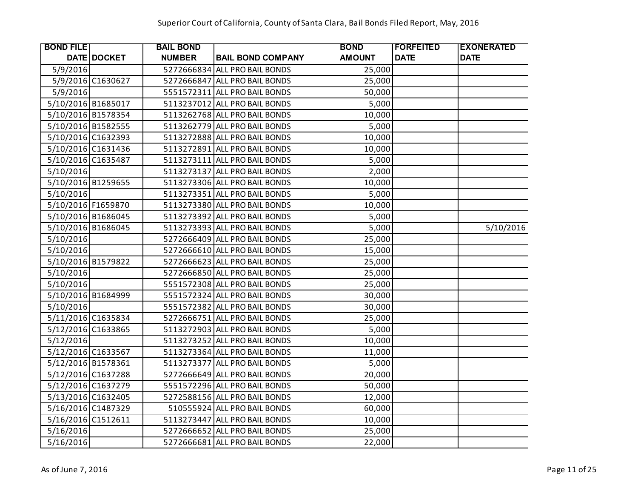| <b>BOND FILE</b>   |                    | <b>BAIL BOND</b> |                               | <b>BOND</b>   | <b> FORFEITED</b> | <b>EXONERATED</b> |
|--------------------|--------------------|------------------|-------------------------------|---------------|-------------------|-------------------|
|                    | <b>DATE DOCKET</b> | <b>NUMBER</b>    | <b>BAIL BOND COMPANY</b>      | <b>AMOUNT</b> | <b>DATE</b>       | <b>DATE</b>       |
| 5/9/2016           |                    |                  | 5272666834 ALL PRO BAIL BONDS | 25,000        |                   |                   |
|                    | 5/9/2016 C1630627  |                  | 5272666847 ALL PRO BAIL BONDS | 25,000        |                   |                   |
| 5/9/2016           |                    |                  | 5551572311 ALL PRO BAIL BONDS | 50,000        |                   |                   |
| 5/10/2016 B1685017 |                    |                  | 5113237012 ALL PRO BAIL BONDS | 5,000         |                   |                   |
| 5/10/2016 B1578354 |                    |                  | 5113262768 ALL PRO BAIL BONDS | 10,000        |                   |                   |
| 5/10/2016 B1582555 |                    |                  | 5113262779 ALL PRO BAIL BONDS | 5,000         |                   |                   |
| 5/10/2016 C1632393 |                    |                  | 5113272888 ALL PRO BAIL BONDS | 10,000        |                   |                   |
| 5/10/2016 C1631436 |                    |                  | 5113272891 ALL PRO BAIL BONDS | 10,000        |                   |                   |
| 5/10/2016 C1635487 |                    |                  | 5113273111 ALL PRO BAIL BONDS | 5,000         |                   |                   |
| 5/10/2016          |                    |                  | 5113273137 ALL PRO BAIL BONDS | 2,000         |                   |                   |
| 5/10/2016 B1259655 |                    |                  | 5113273306 ALL PRO BAIL BONDS | 10,000        |                   |                   |
| 5/10/2016          |                    |                  | 5113273351 ALL PRO BAIL BONDS | 5,000         |                   |                   |
| 5/10/2016 F1659870 |                    |                  | 5113273380 ALL PRO BAIL BONDS | 10,000        |                   |                   |
| 5/10/2016 B1686045 |                    |                  | 5113273392 ALL PRO BAIL BONDS | 5,000         |                   |                   |
| 5/10/2016 B1686045 |                    |                  | 5113273393 ALL PRO BAIL BONDS | 5,000         |                   | 5/10/2016         |
| 5/10/2016          |                    |                  | 5272666409 ALL PRO BAIL BONDS | 25,000        |                   |                   |
| 5/10/2016          |                    |                  | 5272666610 ALL PRO BAIL BONDS | 15,000        |                   |                   |
| 5/10/2016 B1579822 |                    |                  | 5272666623 ALL PRO BAIL BONDS | 25,000        |                   |                   |
| 5/10/2016          |                    |                  | 5272666850 ALL PRO BAIL BONDS | 25,000        |                   |                   |
| 5/10/2016          |                    |                  | 5551572308 ALL PRO BAIL BONDS | 25,000        |                   |                   |
| 5/10/2016 B1684999 |                    |                  | 5551572324 ALL PRO BAIL BONDS | 30,000        |                   |                   |
| 5/10/2016          |                    |                  | 5551572382 ALL PRO BAIL BONDS | 30,000        |                   |                   |
| 5/11/2016 C1635834 |                    |                  | 5272666751 ALL PRO BAIL BONDS | 25,000        |                   |                   |
| 5/12/2016 C1633865 |                    |                  | 5113272903 ALL PRO BAIL BONDS | 5,000         |                   |                   |
| 5/12/2016          |                    |                  | 5113273252 ALL PRO BAIL BONDS | 10,000        |                   |                   |
| 5/12/2016 C1633567 |                    |                  | 5113273364 ALL PRO BAIL BONDS | 11,000        |                   |                   |
| 5/12/2016 B1578361 |                    |                  | 5113273377 ALL PRO BAIL BONDS | 5,000         |                   |                   |
| 5/12/2016 C1637288 |                    |                  | 5272666649 ALL PRO BAIL BONDS | 20,000        |                   |                   |
| 5/12/2016 C1637279 |                    |                  | 5551572296 ALL PRO BAIL BONDS | 50,000        |                   |                   |
| 5/13/2016 C1632405 |                    |                  | 5272588156 ALL PRO BAIL BONDS | 12,000        |                   |                   |
| 5/16/2016 C1487329 |                    |                  | 510555924 ALL PRO BAIL BONDS  | 60,000        |                   |                   |
| 5/16/2016 C1512611 |                    |                  | 5113273447 ALL PRO BAIL BONDS | 10,000        |                   |                   |
| 5/16/2016          |                    |                  | 5272666652 ALL PRO BAIL BONDS | 25,000        |                   |                   |
| 5/16/2016          |                    |                  | 5272666681 ALL PRO BAIL BONDS | 22,000        |                   |                   |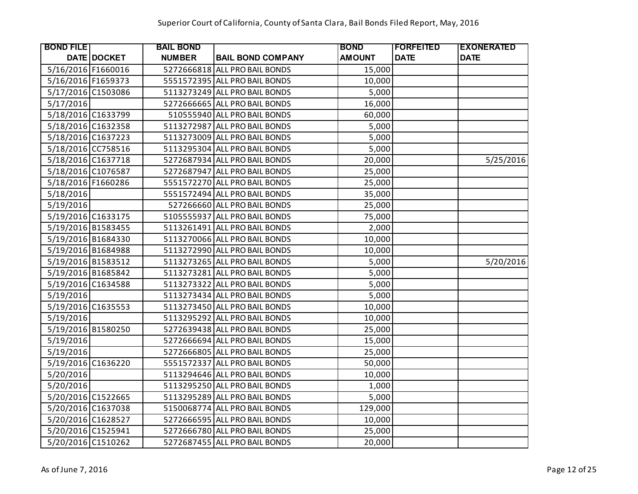| <b>BOND FILE</b>   |             | <b>BAIL BOND</b> |                               | <b>BOND</b>   | <b>FORFEITED</b> | <b>EXONERATED</b> |
|--------------------|-------------|------------------|-------------------------------|---------------|------------------|-------------------|
|                    | DATE DOCKET | <b>NUMBER</b>    | <b>BAIL BOND COMPANY</b>      | <b>AMOUNT</b> | <b>DATE</b>      | <b>DATE</b>       |
| 5/16/2016 F1660016 |             |                  | 5272666818 ALL PRO BAIL BONDS | 15,000        |                  |                   |
| 5/16/2016 F1659373 |             |                  | 5551572395 ALL PRO BAIL BONDS | 10,000        |                  |                   |
| 5/17/2016 C1503086 |             |                  | 5113273249 ALL PRO BAIL BONDS | 5,000         |                  |                   |
| 5/17/2016          |             |                  | 5272666665 ALL PRO BAIL BONDS | 16,000        |                  |                   |
| 5/18/2016 C1633799 |             |                  | 510555940 ALL PRO BAIL BONDS  | 60,000        |                  |                   |
| 5/18/2016 C1632358 |             |                  | 5113272987 ALL PRO BAIL BONDS | 5,000         |                  |                   |
| 5/18/2016 C1637223 |             |                  | 5113273009 ALL PRO BAIL BONDS | 5,000         |                  |                   |
| 5/18/2016 CC758516 |             |                  | 5113295304 ALL PRO BAIL BONDS | 5,000         |                  |                   |
| 5/18/2016 C1637718 |             |                  | 5272687934 ALL PRO BAIL BONDS | 20,000        |                  | 5/25/2016         |
| 5/18/2016 C1076587 |             |                  | 5272687947 ALL PRO BAIL BONDS | 25,000        |                  |                   |
| 5/18/2016 F1660286 |             |                  | 5551572270 ALL PRO BAIL BONDS | 25,000        |                  |                   |
| 5/18/2016          |             |                  | 5551572494 ALL PRO BAIL BONDS | 35,000        |                  |                   |
| 5/19/2016          |             |                  | 527266660 ALL PRO BAIL BONDS  | 25,000        |                  |                   |
| 5/19/2016 C1633175 |             |                  | 5105555937 ALL PRO BAIL BONDS | 75,000        |                  |                   |
| 5/19/2016 B1583455 |             |                  | 5113261491 ALL PRO BAIL BONDS | 2,000         |                  |                   |
| 5/19/2016 B1684330 |             |                  | 5113270066 ALL PRO BAIL BONDS | 10,000        |                  |                   |
| 5/19/2016 B1684988 |             |                  | 5113272990 ALL PRO BAIL BONDS | 10,000        |                  |                   |
| 5/19/2016 B1583512 |             |                  | 5113273265 ALL PRO BAIL BONDS | 5,000         |                  | 5/20/2016         |
| 5/19/2016 B1685842 |             |                  | 5113273281 ALL PRO BAIL BONDS | 5,000         |                  |                   |
| 5/19/2016 C1634588 |             |                  | 5113273322 ALL PRO BAIL BONDS | 5,000         |                  |                   |
| 5/19/2016          |             |                  | 5113273434 ALL PRO BAIL BONDS | 5,000         |                  |                   |
| 5/19/2016 C1635553 |             |                  | 5113273450 ALL PRO BAIL BONDS | 10,000        |                  |                   |
| 5/19/2016          |             |                  | 5113295292 ALL PRO BAIL BONDS | 10,000        |                  |                   |
| 5/19/2016 B1580250 |             |                  | 5272639438 ALL PRO BAIL BONDS | 25,000        |                  |                   |
| 5/19/2016          |             |                  | 5272666694 ALL PRO BAIL BONDS | 15,000        |                  |                   |
| 5/19/2016          |             |                  | 5272666805 ALL PRO BAIL BONDS | 25,000        |                  |                   |
| 5/19/2016 C1636220 |             |                  | 5551572337 ALL PRO BAIL BONDS | 50,000        |                  |                   |
| 5/20/2016          |             |                  | 5113294646 ALL PRO BAIL BONDS | 10,000        |                  |                   |
| 5/20/2016          |             |                  | 5113295250 ALL PRO BAIL BONDS | 1,000         |                  |                   |
| 5/20/2016 C1522665 |             |                  | 5113295289 ALL PRO BAIL BONDS | 5,000         |                  |                   |
| 5/20/2016 C1637038 |             |                  | 5150068774 ALL PRO BAIL BONDS | 129,000       |                  |                   |
| 5/20/2016 C1628527 |             |                  | 5272666595 ALL PRO BAIL BONDS | 10,000        |                  |                   |
| 5/20/2016 C1525941 |             |                  | 5272666780 ALL PRO BAIL BONDS | 25,000        |                  |                   |
| 5/20/2016 C1510262 |             |                  | 5272687455 ALL PRO BAIL BONDS | 20,000        |                  |                   |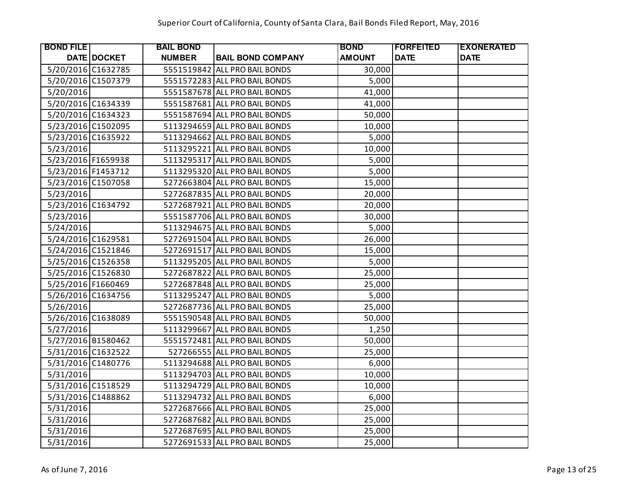| <b>BOND FILE</b>   |             | <b>BAIL BOND</b> |                               | <b>BOND</b>   | <b>FORFEITED</b> | <b>EXONERATED</b> |
|--------------------|-------------|------------------|-------------------------------|---------------|------------------|-------------------|
|                    | DATE DOCKET | <b>NUMBER</b>    | <b>BAIL BOND COMPANY</b>      | <b>AMOUNT</b> | <b>DATE</b>      | <b>DATE</b>       |
| 5/20/2016 C1632785 |             |                  | 5551519842 ALL PRO BAIL BONDS | 30,000        |                  |                   |
| 5/20/2016 C1507379 |             |                  | 5551572283 ALL PRO BAIL BONDS | 5,000         |                  |                   |
| 5/20/2016          |             |                  | 5551587678 ALL PRO BAIL BONDS | 41,000        |                  |                   |
| 5/20/2016 C1634339 |             |                  | 5551587681 ALL PRO BAIL BONDS | 41,000        |                  |                   |
| 5/20/2016 C1634323 |             |                  | 5551587694 ALL PRO BAIL BONDS | 50,000        |                  |                   |
| 5/23/2016 C1502095 |             |                  | 5113294659 ALL PRO BAIL BONDS | 10,000        |                  |                   |
| 5/23/2016 C1635922 |             |                  | 5113294662 ALL PRO BAIL BONDS | 5,000         |                  |                   |
| 5/23/2016          |             |                  | 5113295221 ALL PRO BAIL BONDS | 10,000        |                  |                   |
| 5/23/2016 F1659938 |             |                  | 5113295317 ALL PRO BAIL BONDS | 5,000         |                  |                   |
| 5/23/2016 F1453712 |             |                  | 5113295320 ALL PRO BAIL BONDS | 5,000         |                  |                   |
| 5/23/2016 C1507058 |             |                  | 5272663804 ALL PRO BAIL BONDS | 15,000        |                  |                   |
| 5/23/2016          |             |                  | 5272687835 ALL PRO BAIL BONDS | 20,000        |                  |                   |
| 5/23/2016 C1634792 |             |                  | 5272687921 ALL PRO BAIL BONDS | 20,000        |                  |                   |
| 5/23/2016          |             |                  | 5551587706 ALL PRO BAIL BONDS | 30,000        |                  |                   |
| 5/24/2016          |             |                  | 5113294675 ALL PRO BAIL BONDS | 5,000         |                  |                   |
| 5/24/2016 C1629581 |             |                  | 5272691504 ALL PRO BAIL BONDS | 26,000        |                  |                   |
| 5/24/2016 C1521846 |             |                  | 5272691517 ALL PRO BAIL BONDS | 15,000        |                  |                   |
| 5/25/2016 C1526358 |             |                  | 5113295205 ALL PRO BAIL BONDS | 5,000         |                  |                   |
| 5/25/2016 C1526830 |             |                  | 5272687822 ALL PRO BAIL BONDS | 25,000        |                  |                   |
| 5/25/2016 F1660469 |             |                  | 5272687848 ALL PRO BAIL BONDS | 25,000        |                  |                   |
| 5/26/2016 C1634756 |             |                  | 5113295247 ALL PRO BAIL BONDS | 5,000         |                  |                   |
| 5/26/2016          |             |                  | 5272687736 ALL PRO BAIL BONDS | 25,000        |                  |                   |
| 5/26/2016 C1638089 |             |                  | 5551590548 ALL PRO BAIL BONDS | 50,000        |                  |                   |
| 5/27/2016          |             |                  | 5113299667 ALL PRO BAIL BONDS | 1,250         |                  |                   |
| 5/27/2016 B1580462 |             |                  | 5551572481 ALL PRO BAIL BONDS | 50,000        |                  |                   |
| 5/31/2016 C1632522 |             |                  | 527266555 ALL PRO BAIL BONDS  | 25,000        |                  |                   |
| 5/31/2016 C1480776 |             |                  | 5113294688 ALL PRO BAIL BONDS | 6,000         |                  |                   |
| 5/31/2016          |             |                  | 5113294703 ALL PRO BAIL BONDS | 10,000        |                  |                   |
| 5/31/2016 C1518529 |             |                  | 5113294729 ALL PRO BAIL BONDS | 10,000        |                  |                   |
| 5/31/2016 C1488862 |             |                  | 5113294732 ALL PRO BAIL BONDS | 6,000         |                  |                   |
| 5/31/2016          |             |                  | 5272687666 ALL PRO BAIL BONDS | 25,000        |                  |                   |
| 5/31/2016          |             |                  | 5272687682 ALL PRO BAIL BONDS | 25,000        |                  |                   |
| 5/31/2016          |             |                  | 5272687695 ALL PRO BAIL BONDS | 25,000        |                  |                   |
| 5/31/2016          |             |                  | 5272691533 ALL PRO BAIL BONDS | 25,000        |                  |                   |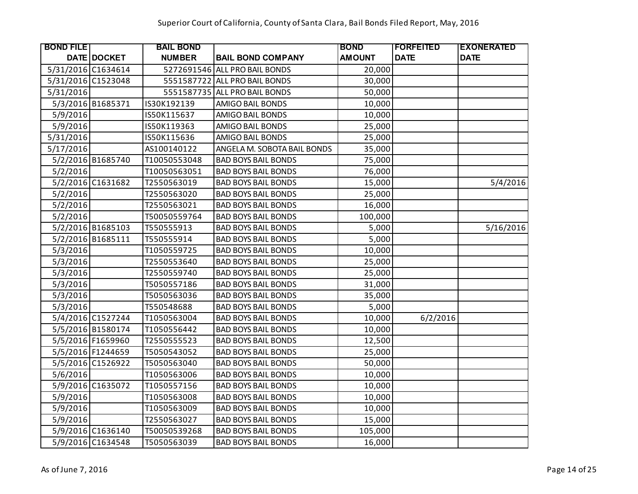| <b>BOND FILE</b>   |                    | <b>BAIL BOND</b> |                               | <b>BOND</b>   | <b> FORFEITED</b> | <b>EXONERATED</b> |
|--------------------|--------------------|------------------|-------------------------------|---------------|-------------------|-------------------|
|                    | <b>DATE DOCKET</b> | <b>NUMBER</b>    | <b>BAIL BOND COMPANY</b>      | <b>AMOUNT</b> | <b>DATE</b>       | <b>DATE</b>       |
| 5/31/2016 C1634614 |                    |                  | 5272691546 ALL PRO BAIL BONDS | 20,000        |                   |                   |
| 5/31/2016 C1523048 |                    |                  | 5551587722 ALL PRO BAIL BONDS | 30,000        |                   |                   |
| 5/31/2016          |                    |                  | 5551587735 ALL PRO BAIL BONDS | 50,000        |                   |                   |
|                    | 5/3/2016 B1685371  | IS30K192139      | AMIGO BAIL BONDS              | 10,000        |                   |                   |
| 5/9/2016           |                    | IS50K115637      | AMIGO BAIL BONDS              | 10,000        |                   |                   |
| 5/9/2016           |                    | IS50K119363      | AMIGO BAIL BONDS              | 25,000        |                   |                   |
| 5/31/2016          |                    | IS50K115636      | AMIGO BAIL BONDS              | 25,000        |                   |                   |
| 5/17/2016          |                    | AS100140122      | ANGELA M. SOBOTA BAIL BONDS   | 35,000        |                   |                   |
|                    | 5/2/2016 B1685740  | T10050553048     | <b>BAD BOYS BAIL BONDS</b>    | 75,000        |                   |                   |
| 5/2/2016           |                    | T10050563051     | <b>BAD BOYS BAIL BONDS</b>    | 76,000        |                   |                   |
|                    | 5/2/2016 C1631682  | T2550563019      | <b>BAD BOYS BAIL BONDS</b>    | 15,000        |                   | 5/4/2016          |
| 5/2/2016           |                    | T2550563020      | <b>BAD BOYS BAIL BONDS</b>    | 25,000        |                   |                   |
| 5/2/2016           |                    | T2550563021      | <b>BAD BOYS BAIL BONDS</b>    | 16,000        |                   |                   |
| 5/2/2016           |                    | T50050559764     | <b>BAD BOYS BAIL BONDS</b>    | 100,000       |                   |                   |
|                    | 5/2/2016 B1685103  | T550555913       | <b>BAD BOYS BAIL BONDS</b>    | 5,000         |                   | 5/16/2016         |
|                    | 5/2/2016 B1685111  | T550555914       | <b>BAD BOYS BAIL BONDS</b>    | 5,000         |                   |                   |
| 5/3/2016           |                    | T1050559725      | <b>BAD BOYS BAIL BONDS</b>    | 10,000        |                   |                   |
| 5/3/2016           |                    | T2550553640      | <b>BAD BOYS BAIL BONDS</b>    | 25,000        |                   |                   |
| 5/3/2016           |                    | T2550559740      | <b>BAD BOYS BAIL BONDS</b>    | 25,000        |                   |                   |
| 5/3/2016           |                    | T5050557186      | <b>BAD BOYS BAIL BONDS</b>    | 31,000        |                   |                   |
| 5/3/2016           |                    | T5050563036      | <b>BAD BOYS BAIL BONDS</b>    | 35,000        |                   |                   |
| 5/3/2016           |                    | T550548688       | <b>BAD BOYS BAIL BONDS</b>    | 5,000         |                   |                   |
|                    | 5/4/2016 C1527244  | T1050563004      | <b>BAD BOYS BAIL BONDS</b>    | 10,000        | 6/2/2016          |                   |
|                    | 5/5/2016 B1580174  | T1050556442      | <b>BAD BOYS BAIL BONDS</b>    | 10,000        |                   |                   |
|                    | 5/5/2016 F1659960  | T2550555523      | <b>BAD BOYS BAIL BONDS</b>    | 12,500        |                   |                   |
|                    | 5/5/2016 F1244659  | T5050543052      | <b>BAD BOYS BAIL BONDS</b>    | 25,000        |                   |                   |
|                    | 5/5/2016 C1526922  | T5050563040      | <b>BAD BOYS BAIL BONDS</b>    | 50,000        |                   |                   |
| 5/6/2016           |                    | T1050563006      | <b>BAD BOYS BAIL BONDS</b>    | 10,000        |                   |                   |
|                    | 5/9/2016 C1635072  | T1050557156      | <b>BAD BOYS BAIL BONDS</b>    | 10,000        |                   |                   |
| 5/9/2016           |                    | T1050563008      | <b>BAD BOYS BAIL BONDS</b>    | 10,000        |                   |                   |
| 5/9/2016           |                    | T1050563009      | <b>BAD BOYS BAIL BONDS</b>    | 10,000        |                   |                   |
| 5/9/2016           |                    | T2550563027      | <b>BAD BOYS BAIL BONDS</b>    | 15,000        |                   |                   |
|                    | 5/9/2016 C1636140  | T50050539268     | <b>BAD BOYS BAIL BONDS</b>    | 105,000       |                   |                   |
|                    | 5/9/2016 C1634548  | T5050563039      | <b>BAD BOYS BAIL BONDS</b>    | 16,000        |                   |                   |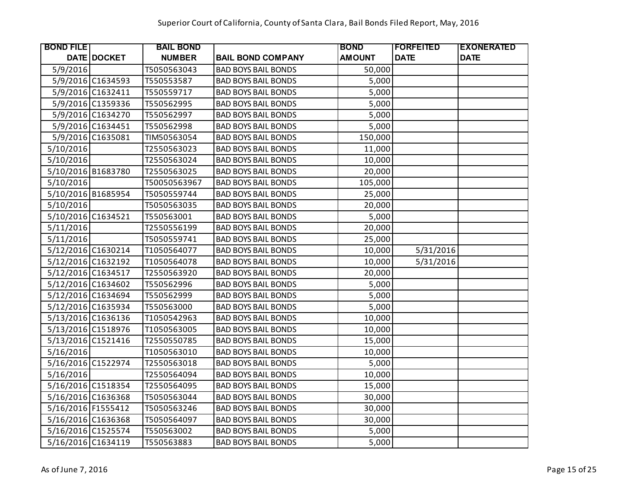| <b>BOND FILE</b>   |                    | <b>BAIL BOND</b> |                            | <b>BOND</b>   | <b> FORFEITED</b> | <b>EXONERATED</b> |
|--------------------|--------------------|------------------|----------------------------|---------------|-------------------|-------------------|
|                    | <b>DATE DOCKET</b> | <b>NUMBER</b>    | <b>BAIL BOND COMPANY</b>   | <b>AMOUNT</b> | <b>DATE</b>       | <b>DATE</b>       |
| 5/9/2016           |                    | T5050563043      | <b>BAD BOYS BAIL BONDS</b> | 50,000        |                   |                   |
|                    | 5/9/2016 C1634593  | T550553587       | <b>BAD BOYS BAIL BONDS</b> | 5,000         |                   |                   |
|                    | 5/9/2016 C1632411  | T550559717       | <b>BAD BOYS BAIL BONDS</b> | 5,000         |                   |                   |
|                    | 5/9/2016 C1359336  | T550562995       | <b>BAD BOYS BAIL BONDS</b> | 5,000         |                   |                   |
|                    | 5/9/2016 C1634270  | T550562997       | <b>BAD BOYS BAIL BONDS</b> | 5,000         |                   |                   |
|                    | 5/9/2016 C1634451  | T550562998       | <b>BAD BOYS BAIL BONDS</b> | 5,000         |                   |                   |
|                    | 5/9/2016 C1635081  | TIM50563054      | <b>BAD BOYS BAIL BONDS</b> | 150,000       |                   |                   |
| 5/10/2016          |                    | T2550563023      | <b>BAD BOYS BAIL BONDS</b> | 11,000        |                   |                   |
| 5/10/2016          |                    | T2550563024      | <b>BAD BOYS BAIL BONDS</b> | 10,000        |                   |                   |
| 5/10/2016 B1683780 |                    | T2550563025      | <b>BAD BOYS BAIL BONDS</b> | 20,000        |                   |                   |
| 5/10/2016          |                    | T50050563967     | <b>BAD BOYS BAIL BONDS</b> | 105,000       |                   |                   |
| 5/10/2016 B1685954 |                    | T5050559744      | <b>BAD BOYS BAIL BONDS</b> | 25,000        |                   |                   |
| 5/10/2016          |                    | T5050563035      | <b>BAD BOYS BAIL BONDS</b> | 20,000        |                   |                   |
| 5/10/2016 C1634521 |                    | T550563001       | <b>BAD BOYS BAIL BONDS</b> | 5,000         |                   |                   |
| 5/11/2016          |                    | T2550556199      | <b>BAD BOYS BAIL BONDS</b> | 20,000        |                   |                   |
| 5/11/2016          |                    | T5050559741      | <b>BAD BOYS BAIL BONDS</b> | 25,000        |                   |                   |
| 5/12/2016 C1630214 |                    | T1050564077      | <b>BAD BOYS BAIL BONDS</b> | 10,000        | 5/31/2016         |                   |
| 5/12/2016 C1632192 |                    | T1050564078      | <b>BAD BOYS BAIL BONDS</b> | 10,000        | 5/31/2016         |                   |
| 5/12/2016 C1634517 |                    | T2550563920      | <b>BAD BOYS BAIL BONDS</b> | 20,000        |                   |                   |
| 5/12/2016 C1634602 |                    | T550562996       | <b>BAD BOYS BAIL BONDS</b> | 5,000         |                   |                   |
| 5/12/2016 C1634694 |                    | T550562999       | <b>BAD BOYS BAIL BONDS</b> | 5,000         |                   |                   |
| 5/12/2016 C1635934 |                    | T550563000       | <b>BAD BOYS BAIL BONDS</b> | 5,000         |                   |                   |
| 5/13/2016 C1636136 |                    | T1050542963      | <b>BAD BOYS BAIL BONDS</b> | 10,000        |                   |                   |
| 5/13/2016 C1518976 |                    | T1050563005      | <b>BAD BOYS BAIL BONDS</b> | 10,000        |                   |                   |
| 5/13/2016 C1521416 |                    | T2550550785      | <b>BAD BOYS BAIL BONDS</b> | 15,000        |                   |                   |
| 5/16/2016          |                    | T1050563010      | <b>BAD BOYS BAIL BONDS</b> | 10,000        |                   |                   |
| 5/16/2016 C1522974 |                    | T2550563018      | <b>BAD BOYS BAIL BONDS</b> | 5,000         |                   |                   |
| 5/16/2016          |                    | T2550564094      | <b>BAD BOYS BAIL BONDS</b> | 10,000        |                   |                   |
| 5/16/2016 C1518354 |                    | T2550564095      | <b>BAD BOYS BAIL BONDS</b> | 15,000        |                   |                   |
| 5/16/2016 C1636368 |                    | T5050563044      | <b>BAD BOYS BAIL BONDS</b> | 30,000        |                   |                   |
| 5/16/2016 F1555412 |                    | T5050563246      | <b>BAD BOYS BAIL BONDS</b> | 30,000        |                   |                   |
| 5/16/2016 C1636368 |                    | T5050564097      | <b>BAD BOYS BAIL BONDS</b> | 30,000        |                   |                   |
| 5/16/2016 C1525574 |                    | T550563002       | <b>BAD BOYS BAIL BONDS</b> | 5,000         |                   |                   |
| 5/16/2016 C1634119 |                    | T550563883       | <b>BAD BOYS BAIL BONDS</b> | 5,000         |                   |                   |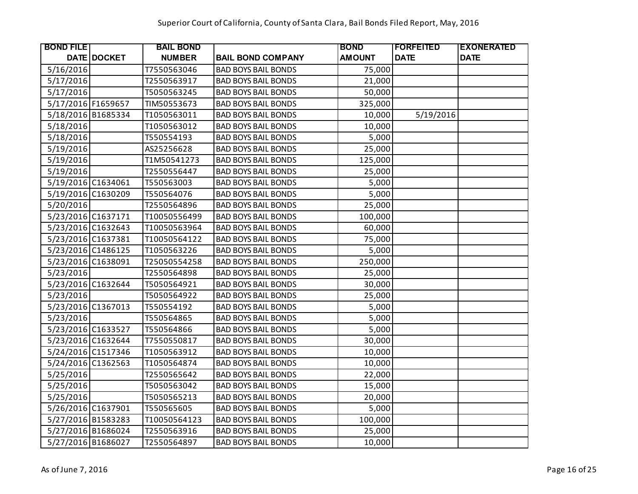| <b>BOND FILE</b>   |                    | <b>BAIL BOND</b> |                            | <b>BOND</b>   | <b> FORFEITED</b> | <b>EXONERATED</b> |
|--------------------|--------------------|------------------|----------------------------|---------------|-------------------|-------------------|
|                    | <b>DATE DOCKET</b> | <b>NUMBER</b>    | <b>BAIL BOND COMPANY</b>   | <b>AMOUNT</b> | <b>DATE</b>       | <b>DATE</b>       |
| 5/16/2016          |                    | T7550563046      | <b>BAD BOYS BAIL BONDS</b> | 75,000        |                   |                   |
| 5/17/2016          |                    | T2550563917      | <b>BAD BOYS BAIL BONDS</b> | 21,000        |                   |                   |
| 5/17/2016          |                    | T5050563245      | <b>BAD BOYS BAIL BONDS</b> | 50,000        |                   |                   |
| 5/17/2016 F1659657 |                    | TIM50553673      | <b>BAD BOYS BAIL BONDS</b> | 325,000       |                   |                   |
| 5/18/2016 B1685334 |                    | T1050563011      | <b>BAD BOYS BAIL BONDS</b> | 10,000        | 5/19/2016         |                   |
| 5/18/2016          |                    | T1050563012      | <b>BAD BOYS BAIL BONDS</b> | 10,000        |                   |                   |
| 5/18/2016          |                    | T550554193       | <b>BAD BOYS BAIL BONDS</b> | 5,000         |                   |                   |
| 5/19/2016          |                    | AS25256628       | <b>BAD BOYS BAIL BONDS</b> | 25,000        |                   |                   |
| 5/19/2016          |                    | T1M50541273      | <b>BAD BOYS BAIL BONDS</b> | 125,000       |                   |                   |
| 5/19/2016          |                    | T2550556447      | <b>BAD BOYS BAIL BONDS</b> | 25,000        |                   |                   |
| 5/19/2016 C1634061 |                    | T550563003       | <b>BAD BOYS BAIL BONDS</b> | 5,000         |                   |                   |
| 5/19/2016 C1630209 |                    | T550564076       | <b>BAD BOYS BAIL BONDS</b> | 5,000         |                   |                   |
| 5/20/2016          |                    | T2550564896      | <b>BAD BOYS BAIL BONDS</b> | 25,000        |                   |                   |
| 5/23/2016 C1637171 |                    | T10050556499     | <b>BAD BOYS BAIL BONDS</b> | 100,000       |                   |                   |
| 5/23/2016 C1632643 |                    | T10050563964     | <b>BAD BOYS BAIL BONDS</b> | 60,000        |                   |                   |
| 5/23/2016 C1637381 |                    | T10050564122     | <b>BAD BOYS BAIL BONDS</b> | 75,000        |                   |                   |
| 5/23/2016 C1486125 |                    | T1050563226      | <b>BAD BOYS BAIL BONDS</b> | 5,000         |                   |                   |
| 5/23/2016 C1638091 |                    | T25050554258     | <b>BAD BOYS BAIL BONDS</b> | 250,000       |                   |                   |
| 5/23/2016          |                    | T2550564898      | <b>BAD BOYS BAIL BONDS</b> | 25,000        |                   |                   |
| 5/23/2016 C1632644 |                    | T5050564921      | <b>BAD BOYS BAIL BONDS</b> | 30,000        |                   |                   |
| 5/23/2016          |                    | T5050564922      | <b>BAD BOYS BAIL BONDS</b> | 25,000        |                   |                   |
| 5/23/2016 C1367013 |                    | T550554192       | <b>BAD BOYS BAIL BONDS</b> | 5,000         |                   |                   |
| 5/23/2016          |                    | T550564865       | <b>BAD BOYS BAIL BONDS</b> | 5,000         |                   |                   |
| 5/23/2016 C1633527 |                    | T550564866       | <b>BAD BOYS BAIL BONDS</b> | 5,000         |                   |                   |
| 5/23/2016 C1632644 |                    | T7550550817      | <b>BAD BOYS BAIL BONDS</b> | 30,000        |                   |                   |
| 5/24/2016 C1517346 |                    | T1050563912      | <b>BAD BOYS BAIL BONDS</b> | 10,000        |                   |                   |
| 5/24/2016 C1362563 |                    | T1050564874      | <b>BAD BOYS BAIL BONDS</b> | 10,000        |                   |                   |
| 5/25/2016          |                    | T2550565642      | <b>BAD BOYS BAIL BONDS</b> | 22,000        |                   |                   |
| 5/25/2016          |                    | T5050563042      | <b>BAD BOYS BAIL BONDS</b> | 15,000        |                   |                   |
| 5/25/2016          |                    | T5050565213      | <b>BAD BOYS BAIL BONDS</b> | 20,000        |                   |                   |
| 5/26/2016 C1637901 |                    | T550565605       | <b>BAD BOYS BAIL BONDS</b> | 5,000         |                   |                   |
| 5/27/2016 B1583283 |                    | T10050564123     | <b>BAD BOYS BAIL BONDS</b> | 100,000       |                   |                   |
| 5/27/2016 B1686024 |                    | T2550563916      | <b>BAD BOYS BAIL BONDS</b> | 25,000        |                   |                   |
| 5/27/2016 B1686027 |                    | T2550564897      | <b>BAD BOYS BAIL BONDS</b> | 10,000        |                   |                   |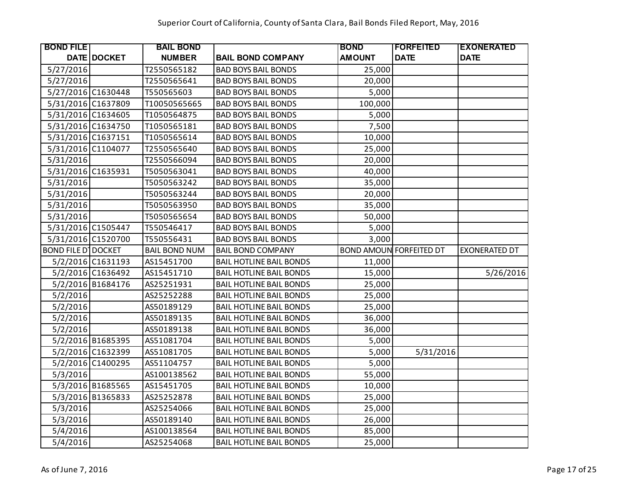| <b>BOND FILE</b>           |                    | <b>BAIL BOND</b>     |                                | <b>BOND</b>   | <b> FORFEITED</b>              | <b>EXONERATED</b>    |
|----------------------------|--------------------|----------------------|--------------------------------|---------------|--------------------------------|----------------------|
|                            | <b>DATE DOCKET</b> | <b>NUMBER</b>        | <b>BAIL BOND COMPANY</b>       | <b>AMOUNT</b> | <b>DATE</b>                    | <b>DATE</b>          |
| 5/27/2016                  |                    | T2550565182          | <b>BAD BOYS BAIL BONDS</b>     | 25,000        |                                |                      |
| 5/27/2016                  |                    | T2550565641          | <b>BAD BOYS BAIL BONDS</b>     | 20,000        |                                |                      |
| 5/27/2016 C1630448         |                    | T550565603           | <b>BAD BOYS BAIL BONDS</b>     | 5,000         |                                |                      |
| 5/31/2016 C1637809         |                    | T10050565665         | <b>BAD BOYS BAIL BONDS</b>     | 100,000       |                                |                      |
| 5/31/2016 C1634605         |                    | T1050564875          | <b>BAD BOYS BAIL BONDS</b>     | 5,000         |                                |                      |
| 5/31/2016 C1634750         |                    | T1050565181          | <b>BAD BOYS BAIL BONDS</b>     | 7,500         |                                |                      |
| 5/31/2016 C1637151         |                    | T1050565614          | <b>BAD BOYS BAIL BONDS</b>     | 10,000        |                                |                      |
| 5/31/2016 C1104077         |                    | T2550565640          | <b>BAD BOYS BAIL BONDS</b>     | 25,000        |                                |                      |
| 5/31/2016                  |                    | T2550566094          | <b>BAD BOYS BAIL BONDS</b>     | 20,000        |                                |                      |
| 5/31/2016 C1635931         |                    | T5050563041          | <b>BAD BOYS BAIL BONDS</b>     | 40,000        |                                |                      |
| 5/31/2016                  |                    | T5050563242          | <b>BAD BOYS BAIL BONDS</b>     | 35,000        |                                |                      |
| 5/31/2016                  |                    | T5050563244          | <b>BAD BOYS BAIL BONDS</b>     | 20,000        |                                |                      |
| 5/31/2016                  |                    | T5050563950          | <b>BAD BOYS BAIL BONDS</b>     | 35,000        |                                |                      |
| 5/31/2016                  |                    | T5050565654          | <b>BAD BOYS BAIL BONDS</b>     | 50,000        |                                |                      |
| 5/31/2016 C1505447         |                    | T550546417           | <b>BAD BOYS BAIL BONDS</b>     | 5,000         |                                |                      |
| 5/31/2016 C1520700         |                    | T550556431           | <b>BAD BOYS BAIL BONDS</b>     | 3,000         |                                |                      |
| <b>BOND FILE D' DOCKET</b> |                    | <b>BAIL BOND NUM</b> | <b>BAIL BOND COMPANY</b>       |               | <b>BOND AMOUN FORFEITED DT</b> | <b>EXONERATED DT</b> |
|                            | 5/2/2016 C1631193  | AS15451700           | <b>BAIL HOTLINE BAIL BONDS</b> | 11,000        |                                |                      |
|                            | 5/2/2016 C1636492  | AS15451710           | <b>BAIL HOTLINE BAIL BONDS</b> | 15,000        |                                | 5/26/2016            |
|                            | 5/2/2016 B1684176  | AS25251931           | <b>BAIL HOTLINE BAIL BONDS</b> | 25,000        |                                |                      |
| 5/2/2016                   |                    | AS25252288           | <b>BAIL HOTLINE BAIL BONDS</b> | 25,000        |                                |                      |
| 5/2/2016                   |                    | AS50189129           | <b>BAIL HOTLINE BAIL BONDS</b> | 25,000        |                                |                      |
| 5/2/2016                   |                    | AS50189135           | <b>BAIL HOTLINE BAIL BONDS</b> | 36,000        |                                |                      |
| 5/2/2016                   |                    | AS50189138           | <b>BAIL HOTLINE BAIL BONDS</b> | 36,000        |                                |                      |
|                            | 5/2/2016 B1685395  | AS51081704           | <b>BAIL HOTLINE BAIL BONDS</b> | 5,000         |                                |                      |
|                            | 5/2/2016 C1632399  | AS51081705           | <b>BAIL HOTLINE BAIL BONDS</b> | 5,000         | 5/31/2016                      |                      |
|                            | 5/2/2016 C1400295  | AS51104757           | <b>BAIL HOTLINE BAIL BONDS</b> | 5,000         |                                |                      |
| 5/3/2016                   |                    | AS100138562          | <b>BAIL HOTLINE BAIL BONDS</b> | 55,000        |                                |                      |
|                            | 5/3/2016 B1685565  | AS15451705           | <b>BAIL HOTLINE BAIL BONDS</b> | 10,000        |                                |                      |
|                            | 5/3/2016 B1365833  | AS25252878           | <b>BAIL HOTLINE BAIL BONDS</b> | 25,000        |                                |                      |
| 5/3/2016                   |                    | AS25254066           | <b>BAIL HOTLINE BAIL BONDS</b> | 25,000        |                                |                      |
| 5/3/2016                   |                    | AS50189140           | <b>BAIL HOTLINE BAIL BONDS</b> | 26,000        |                                |                      |
| 5/4/2016                   |                    | AS100138564          | <b>BAIL HOTLINE BAIL BONDS</b> | 85,000        |                                |                      |
| 5/4/2016                   |                    | AS25254068           | <b>BAIL HOTLINE BAIL BONDS</b> | 25,000        |                                |                      |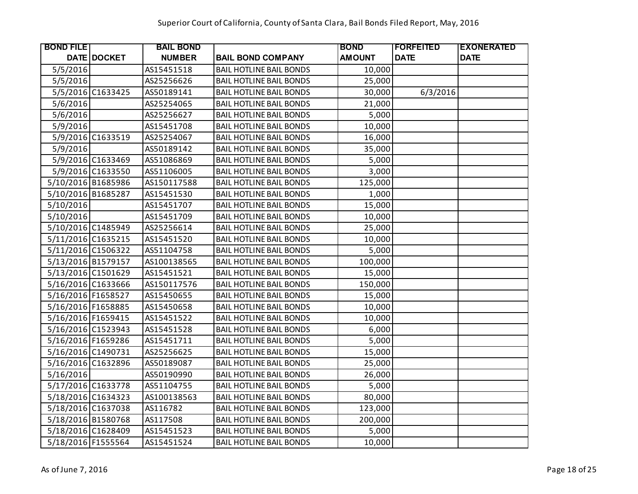| <b>BOND FILE</b>   |                   | <b>BAIL BOND</b> |                                | <b>BOND</b>   | <b> FORFEITED</b> | <b>EXONERATED</b> |
|--------------------|-------------------|------------------|--------------------------------|---------------|-------------------|-------------------|
|                    | DATE DOCKET       | <b>NUMBER</b>    | <b>BAIL BOND COMPANY</b>       | <b>AMOUNT</b> | <b>DATE</b>       | <b>DATE</b>       |
| 5/5/2016           |                   | AS15451518       | <b>BAIL HOTLINE BAIL BONDS</b> | 10,000        |                   |                   |
| 5/5/2016           |                   | AS25256626       | <b>BAIL HOTLINE BAIL BONDS</b> | 25,000        |                   |                   |
|                    | 5/5/2016 C1633425 | AS50189141       | <b>BAIL HOTLINE BAIL BONDS</b> | 30,000        | 6/3/2016          |                   |
| 5/6/2016           |                   | AS25254065       | <b>BAIL HOTLINE BAIL BONDS</b> | 21,000        |                   |                   |
| 5/6/2016           |                   | AS25256627       | <b>BAIL HOTLINE BAIL BONDS</b> | 5,000         |                   |                   |
| 5/9/2016           |                   | AS15451708       | <b>BAIL HOTLINE BAIL BONDS</b> | 10,000        |                   |                   |
|                    | 5/9/2016 C1633519 | AS25254067       | <b>BAIL HOTLINE BAIL BONDS</b> | 16,000        |                   |                   |
| 5/9/2016           |                   | AS50189142       | <b>BAIL HOTLINE BAIL BONDS</b> | 35,000        |                   |                   |
|                    | 5/9/2016 C1633469 | AS51086869       | <b>BAIL HOTLINE BAIL BONDS</b> | 5,000         |                   |                   |
|                    | 5/9/2016 C1633550 | AS51106005       | <b>BAIL HOTLINE BAIL BONDS</b> | 3,000         |                   |                   |
| 5/10/2016 B1685986 |                   | AS150117588      | <b>BAIL HOTLINE BAIL BONDS</b> | 125,000       |                   |                   |
| 5/10/2016 B1685287 |                   | AS15451530       | <b>BAIL HOTLINE BAIL BONDS</b> | 1,000         |                   |                   |
| 5/10/2016          |                   | AS15451707       | <b>BAIL HOTLINE BAIL BONDS</b> | 15,000        |                   |                   |
| 5/10/2016          |                   | AS15451709       | <b>BAIL HOTLINE BAIL BONDS</b> | 10,000        |                   |                   |
| 5/10/2016 C1485949 |                   | AS25256614       | <b>BAIL HOTLINE BAIL BONDS</b> | 25,000        |                   |                   |
| 5/11/2016 C1635215 |                   | AS15451520       | <b>BAIL HOTLINE BAIL BONDS</b> | 10,000        |                   |                   |
| 5/11/2016 C1506322 |                   | AS51104758       | <b>BAIL HOTLINE BAIL BONDS</b> | 5,000         |                   |                   |
| 5/13/2016 B1579157 |                   | AS100138565      | <b>BAIL HOTLINE BAIL BONDS</b> | 100,000       |                   |                   |
| 5/13/2016 C1501629 |                   | AS15451521       | <b>BAIL HOTLINE BAIL BONDS</b> | 15,000        |                   |                   |
| 5/16/2016 C1633666 |                   | AS150117576      | <b>BAIL HOTLINE BAIL BONDS</b> | 150,000       |                   |                   |
| 5/16/2016 F1658527 |                   | AS15450655       | <b>BAIL HOTLINE BAIL BONDS</b> | 15,000        |                   |                   |
| 5/16/2016 F1658885 |                   | AS15450658       | <b>BAIL HOTLINE BAIL BONDS</b> | 10,000        |                   |                   |
| 5/16/2016 F1659415 |                   | AS15451522       | <b>BAIL HOTLINE BAIL BONDS</b> | 10,000        |                   |                   |
| 5/16/2016 C1523943 |                   | AS15451528       | <b>BAIL HOTLINE BAIL BONDS</b> | 6,000         |                   |                   |
| 5/16/2016 F1659286 |                   | AS15451711       | <b>BAIL HOTLINE BAIL BONDS</b> | 5,000         |                   |                   |
| 5/16/2016 C1490731 |                   | AS25256625       | <b>BAIL HOTLINE BAIL BONDS</b> | 15,000        |                   |                   |
| 5/16/2016 C1632896 |                   | AS50189087       | <b>BAIL HOTLINE BAIL BONDS</b> | 25,000        |                   |                   |
| 5/16/2016          |                   | AS50190990       | <b>BAIL HOTLINE BAIL BONDS</b> | 26,000        |                   |                   |
| 5/17/2016 C1633778 |                   | AS51104755       | <b>BAIL HOTLINE BAIL BONDS</b> | 5,000         |                   |                   |
| 5/18/2016 C1634323 |                   | AS100138563      | <b>BAIL HOTLINE BAIL BONDS</b> | 80,000        |                   |                   |
| 5/18/2016 C1637038 |                   | AS116782         | <b>BAIL HOTLINE BAIL BONDS</b> | 123,000       |                   |                   |
| 5/18/2016 B1580768 |                   | AS117508         | <b>BAIL HOTLINE BAIL BONDS</b> | 200,000       |                   |                   |
| 5/18/2016 C1628409 |                   | AS15451523       | <b>BAIL HOTLINE BAIL BONDS</b> | 5,000         |                   |                   |
| 5/18/2016 F1555564 |                   | AS15451524       | <b>BAIL HOTLINE BAIL BONDS</b> | 10,000        |                   |                   |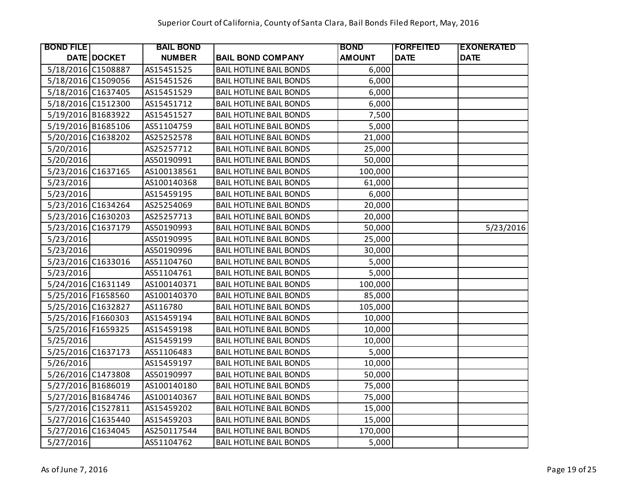| <b>BOND FILE</b>   |                    | <b>BAIL BOND</b> |                                | <b>BOND</b>   | <b> FORFEITED</b> | <b>EXONERATED</b> |
|--------------------|--------------------|------------------|--------------------------------|---------------|-------------------|-------------------|
|                    | <b>DATE DOCKET</b> | <b>NUMBER</b>    | <b>BAIL BOND COMPANY</b>       | <b>AMOUNT</b> | <b>DATE</b>       | <b>DATE</b>       |
| 5/18/2016 C1508887 |                    | AS15451525       | <b>BAIL HOTLINE BAIL BONDS</b> | 6,000         |                   |                   |
| 5/18/2016 C1509056 |                    | AS15451526       | <b>BAIL HOTLINE BAIL BONDS</b> | 6,000         |                   |                   |
| 5/18/2016 C1637405 |                    | AS15451529       | <b>BAIL HOTLINE BAIL BONDS</b> | 6,000         |                   |                   |
| 5/18/2016 C1512300 |                    | AS15451712       | <b>BAIL HOTLINE BAIL BONDS</b> | 6,000         |                   |                   |
| 5/19/2016 B1683922 |                    | AS15451527       | <b>BAIL HOTLINE BAIL BONDS</b> | 7,500         |                   |                   |
| 5/19/2016 B1685106 |                    | AS51104759       | <b>BAIL HOTLINE BAIL BONDS</b> | 5,000         |                   |                   |
| 5/20/2016 C1638202 |                    | AS25252578       | <b>BAIL HOTLINE BAIL BONDS</b> | 21,000        |                   |                   |
| 5/20/2016          |                    | AS25257712       | <b>BAIL HOTLINE BAIL BONDS</b> | 25,000        |                   |                   |
| 5/20/2016          |                    | AS50190991       | <b>BAIL HOTLINE BAIL BONDS</b> | 50,000        |                   |                   |
| 5/23/2016 C1637165 |                    | AS100138561      | <b>BAIL HOTLINE BAIL BONDS</b> | 100,000       |                   |                   |
| 5/23/2016          |                    | AS100140368      | <b>BAIL HOTLINE BAIL BONDS</b> | 61,000        |                   |                   |
| 5/23/2016          |                    | AS15459195       | <b>BAIL HOTLINE BAIL BONDS</b> | 6,000         |                   |                   |
| 5/23/2016 C1634264 |                    | AS25254069       | <b>BAIL HOTLINE BAIL BONDS</b> | 20,000        |                   |                   |
| 5/23/2016 C1630203 |                    | AS25257713       | <b>BAIL HOTLINE BAIL BONDS</b> | 20,000        |                   |                   |
| 5/23/2016 C1637179 |                    | AS50190993       | <b>BAIL HOTLINE BAIL BONDS</b> | 50,000        |                   | 5/23/2016         |
| 5/23/2016          |                    | AS50190995       | <b>BAIL HOTLINE BAIL BONDS</b> | 25,000        |                   |                   |
| 5/23/2016          |                    | AS50190996       | <b>BAIL HOTLINE BAIL BONDS</b> | 30,000        |                   |                   |
| 5/23/2016 C1633016 |                    | AS51104760       | <b>BAIL HOTLINE BAIL BONDS</b> | 5,000         |                   |                   |
| 5/23/2016          |                    | AS51104761       | <b>BAIL HOTLINE BAIL BONDS</b> | 5,000         |                   |                   |
| 5/24/2016 C1631149 |                    | AS100140371      | <b>BAIL HOTLINE BAIL BONDS</b> | 100,000       |                   |                   |
| 5/25/2016 F1658560 |                    | AS100140370      | <b>BAIL HOTLINE BAIL BONDS</b> | 85,000        |                   |                   |
| 5/25/2016 C1632827 |                    | AS116780         | <b>BAIL HOTLINE BAIL BONDS</b> | 105,000       |                   |                   |
| 5/25/2016 F1660303 |                    | AS15459194       | <b>BAIL HOTLINE BAIL BONDS</b> | 10,000        |                   |                   |
| 5/25/2016 F1659325 |                    | AS15459198       | <b>BAIL HOTLINE BAIL BONDS</b> | 10,000        |                   |                   |
| 5/25/2016          |                    | AS15459199       | <b>BAIL HOTLINE BAIL BONDS</b> | 10,000        |                   |                   |
| 5/25/2016 C1637173 |                    | AS51106483       | <b>BAIL HOTLINE BAIL BONDS</b> | 5,000         |                   |                   |
| 5/26/2016          |                    | AS15459197       | <b>BAIL HOTLINE BAIL BONDS</b> | 10,000        |                   |                   |
| 5/26/2016 C1473808 |                    | AS50190997       | <b>BAIL HOTLINE BAIL BONDS</b> | 50,000        |                   |                   |
| 5/27/2016 B1686019 |                    | AS100140180      | <b>BAIL HOTLINE BAIL BONDS</b> | 75,000        |                   |                   |
| 5/27/2016 B1684746 |                    | AS100140367      | <b>BAIL HOTLINE BAIL BONDS</b> | 75,000        |                   |                   |
| 5/27/2016 C1527811 |                    | AS15459202       | <b>BAIL HOTLINE BAIL BONDS</b> | 15,000        |                   |                   |
| 5/27/2016 C1635440 |                    | AS15459203       | <b>BAIL HOTLINE BAIL BONDS</b> | 15,000        |                   |                   |
| 5/27/2016 C1634045 |                    | AS250117544      | <b>BAIL HOTLINE BAIL BONDS</b> | 170,000       |                   |                   |
| 5/27/2016          |                    | AS51104762       | <b>BAIL HOTLINE BAIL BONDS</b> | 5,000         |                   |                   |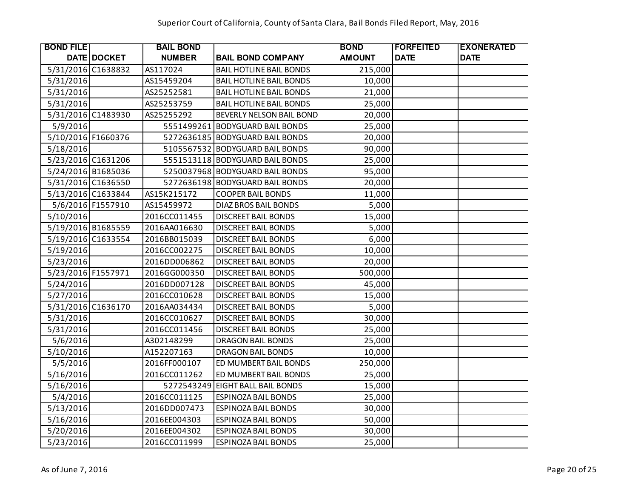| <b>BOND FILE</b>   |                   | <b>BAIL BOND</b> |                                 | <b>BOND</b>   | <b>FORFEITED</b> | <b>EXONERATED</b> |
|--------------------|-------------------|------------------|---------------------------------|---------------|------------------|-------------------|
|                    | DATE DOCKET       | <b>NUMBER</b>    | <b>BAIL BOND COMPANY</b>        | <b>AMOUNT</b> | <b>DATE</b>      | <b>DATE</b>       |
| 5/31/2016 C1638832 |                   | AS117024         | <b>BAIL HOTLINE BAIL BONDS</b>  | 215,000       |                  |                   |
| 5/31/2016          |                   | AS15459204       | <b>BAIL HOTLINE BAIL BONDS</b>  | 10,000        |                  |                   |
| 5/31/2016          |                   | AS25252581       | <b>BAIL HOTLINE BAIL BONDS</b>  | 21,000        |                  |                   |
| 5/31/2016          |                   | AS25253759       | <b>BAIL HOTLINE BAIL BONDS</b>  | 25,000        |                  |                   |
| 5/31/2016 C1483930 |                   | AS25255292       | BEVERLY NELSON BAIL BOND        | 20,000        |                  |                   |
| 5/9/2016           |                   |                  | 5551499261 BODYGUARD BAIL BONDS | 25,000        |                  |                   |
| 5/10/2016 F1660376 |                   |                  | 5272636185 BODYGUARD BAIL BONDS | 20,000        |                  |                   |
| 5/18/2016          |                   |                  | 5105567532 BODYGUARD BAIL BONDS | 90,000        |                  |                   |
| 5/23/2016 C1631206 |                   |                  | 5551513118 BODYGUARD BAIL BONDS | 25,000        |                  |                   |
| 5/24/2016 B1685036 |                   |                  | 5250037968 BODYGUARD BAIL BONDS | 95,000        |                  |                   |
| 5/31/2016 C1636550 |                   |                  | 5272636198 BODYGUARD BAIL BONDS | 20,000        |                  |                   |
| 5/13/2016 C1633844 |                   | AS15K215172      | <b>COOPER BAIL BONDS</b>        | 11,000        |                  |                   |
|                    | 5/6/2016 F1557910 | AS15459972       | DIAZ BROS BAIL BONDS            | 5,000         |                  |                   |
| 5/10/2016          |                   | 2016CC011455     | <b>DISCREET BAIL BONDS</b>      | 15,000        |                  |                   |
| 5/19/2016 B1685559 |                   | 2016AA016630     | <b>DISCREET BAIL BONDS</b>      | 5,000         |                  |                   |
| 5/19/2016 C1633554 |                   | 2016BB015039     | <b>DISCREET BAIL BONDS</b>      | 6,000         |                  |                   |
| 5/19/2016          |                   | 2016CC002275     | <b>DISCREET BAIL BONDS</b>      | 10,000        |                  |                   |
| 5/23/2016          |                   | 2016DD006862     | <b>DISCREET BAIL BONDS</b>      | 20,000        |                  |                   |
| 5/23/2016 F1557971 |                   | 2016GG000350     | <b>DISCREET BAIL BONDS</b>      | 500,000       |                  |                   |
| 5/24/2016          |                   | 2016DD007128     | <b>DISCREET BAIL BONDS</b>      | 45,000        |                  |                   |
| 5/27/2016          |                   | 2016CC010628     | <b>DISCREET BAIL BONDS</b>      | 15,000        |                  |                   |
| 5/31/2016 C1636170 |                   | 2016AA034434     | <b>DISCREET BAIL BONDS</b>      | 5,000         |                  |                   |
| 5/31/2016          |                   | 2016CC010627     | <b>DISCREET BAIL BONDS</b>      | 30,000        |                  |                   |
| 5/31/2016          |                   | 2016CC011456     | <b>DISCREET BAIL BONDS</b>      | 25,000        |                  |                   |
| 5/6/2016           |                   | A302148299       | <b>DRAGON BAIL BONDS</b>        | 25,000        |                  |                   |
| 5/10/2016          |                   | A152207163       | <b>DRAGON BAIL BONDS</b>        | 10,000        |                  |                   |
| 5/5/2016           |                   | 2016FF000107     | ED MUMBERT BAIL BONDS           | 250,000       |                  |                   |
| 5/16/2016          |                   | 2016CC011262     | ED MUMBERT BAIL BONDS           | 25,000        |                  |                   |
| 5/16/2016          |                   | 5272543249       | <b>EIGHT BALL BAIL BONDS</b>    | 15,000        |                  |                   |
| 5/4/2016           |                   | 2016CC011125     | <b>ESPINOZA BAIL BONDS</b>      | 25,000        |                  |                   |
| 5/13/2016          |                   | 2016DD007473     | <b>ESPINOZA BAIL BONDS</b>      | 30,000        |                  |                   |
| 5/16/2016          |                   | 2016EE004303     | <b>ESPINOZA BAIL BONDS</b>      | 50,000        |                  |                   |
| 5/20/2016          |                   | 2016EE004302     | <b>ESPINOZA BAIL BONDS</b>      | 30,000        |                  |                   |
| 5/23/2016          |                   | 2016CC011999     | <b>ESPINOZA BAIL BONDS</b>      | 25,000        |                  |                   |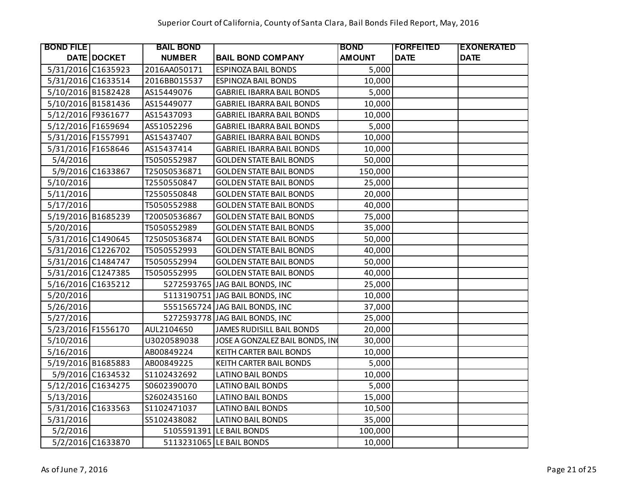| <b>BOND FILE</b>   |                   | <b>BAIL BOND</b> |                                  | <b>BOND</b>   | <b>FORFEITED</b> | <b>EXONERATED</b> |
|--------------------|-------------------|------------------|----------------------------------|---------------|------------------|-------------------|
|                    | DATE DOCKET       | <b>NUMBER</b>    | <b>BAIL BOND COMPANY</b>         | <b>AMOUNT</b> | <b>DATE</b>      | <b>DATE</b>       |
| 5/31/2016 C1635923 |                   | 2016AA050171     | <b>ESPINOZA BAIL BONDS</b>       | 5,000         |                  |                   |
| 5/31/2016 C1633514 |                   | 2016BB015537     | <b>ESPINOZA BAIL BONDS</b>       | 10,000        |                  |                   |
| 5/10/2016 B1582428 |                   | AS15449076       | <b>GABRIEL IBARRA BAIL BONDS</b> | 5,000         |                  |                   |
| 5/10/2016 B1581436 |                   | AS15449077       | <b>GABRIEL IBARRA BAIL BONDS</b> | 10,000        |                  |                   |
| 5/12/2016 F9361677 |                   | AS15437093       | <b>GABRIEL IBARRA BAIL BONDS</b> | 10,000        |                  |                   |
| 5/12/2016 F1659694 |                   | AS51052296       | <b>GABRIEL IBARRA BAIL BONDS</b> | 5,000         |                  |                   |
| 5/31/2016 F1557991 |                   | AS15437407       | <b>GABRIEL IBARRA BAIL BONDS</b> | 10,000        |                  |                   |
| 5/31/2016 F1658646 |                   | AS15437414       | <b>GABRIEL IBARRA BAIL BONDS</b> | 10,000        |                  |                   |
| 5/4/2016           |                   | T5050552987      | <b>GOLDEN STATE BAIL BONDS</b>   | 50,000        |                  |                   |
|                    | 5/9/2016 C1633867 | T25050536871     | <b>GOLDEN STATE BAIL BONDS</b>   | 150,000       |                  |                   |
| 5/10/2016          |                   | T2550550847      | <b>GOLDEN STATE BAIL BONDS</b>   | 25,000        |                  |                   |
| 5/11/2016          |                   | T2550550848      | <b>GOLDEN STATE BAIL BONDS</b>   | 20,000        |                  |                   |
| 5/17/2016          |                   | T5050552988      | <b>GOLDEN STATE BAIL BONDS</b>   | 40,000        |                  |                   |
| 5/19/2016 B1685239 |                   | T20050536867     | <b>GOLDEN STATE BAIL BONDS</b>   | 75,000        |                  |                   |
| 5/20/2016          |                   | T5050552989      | <b>GOLDEN STATE BAIL BONDS</b>   | 35,000        |                  |                   |
| 5/31/2016 C1490645 |                   | T25050536874     | <b>GOLDEN STATE BAIL BONDS</b>   | 50,000        |                  |                   |
| 5/31/2016 C1226702 |                   | T5050552993      | <b>GOLDEN STATE BAIL BONDS</b>   | 40,000        |                  |                   |
| 5/31/2016 C1484747 |                   | T5050552994      | <b>GOLDEN STATE BAIL BONDS</b>   | 50,000        |                  |                   |
| 5/31/2016 C1247385 |                   | T5050552995      | <b>GOLDEN STATE BAIL BONDS</b>   | 40,000        |                  |                   |
| 5/16/2016 C1635212 |                   |                  | 5272593765 JAG BAIL BONDS, INC   | 25,000        |                  |                   |
| 5/20/2016          |                   |                  | 5113190751 JAG BAIL BONDS, INC   | 10,000        |                  |                   |
| 5/26/2016          |                   |                  | 5551565724 JAG BAIL BONDS, INC   | 37,000        |                  |                   |
| 5/27/2016          |                   |                  | 5272593778 JAG BAIL BONDS, INC   | 25,000        |                  |                   |
| 5/23/2016 F1556170 |                   | AUL2104650       | JAMES RUDISILL BAIL BONDS        | 20,000        |                  |                   |
| 5/10/2016          |                   | U3020589038      | JOSE A GONZALEZ BAIL BONDS, IN   | 30,000        |                  |                   |
| 5/16/2016          |                   | AB00849224       | KEITH CARTER BAIL BONDS          | 10,000        |                  |                   |
| 5/19/2016 B1685883 |                   | AB00849225       | KEITH CARTER BAIL BONDS          | 5,000         |                  |                   |
|                    | 5/9/2016 C1634532 | S1102432692      | <b>LATINO BAIL BONDS</b>         | 10,000        |                  |                   |
| 5/12/2016 C1634275 |                   | S0602390070      | <b>LATINO BAIL BONDS</b>         | 5,000         |                  |                   |
| 5/13/2016          |                   | S2602435160      | <b>LATINO BAIL BONDS</b>         | 15,000        |                  |                   |
| 5/31/2016 C1633563 |                   | S1102471037      | <b>LATINO BAIL BONDS</b>         | 10,500        |                  |                   |
| 5/31/2016          |                   | S5102438082      | <b>LATINO BAIL BONDS</b>         | 35,000        |                  |                   |
| 5/2/2016           |                   |                  | 5105591391 LE BAIL BONDS         | 100,000       |                  |                   |
|                    | 5/2/2016 C1633870 |                  | 5113231065 LE BAIL BONDS         | 10,000        |                  |                   |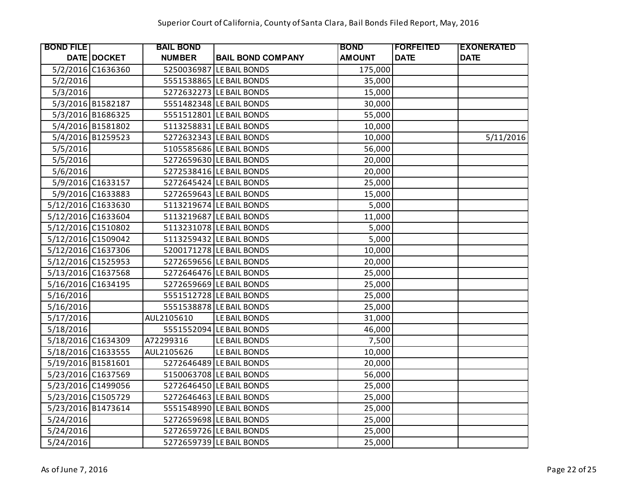| <b>BOND FILE</b>   |                   | <b>BAIL BOND</b> |                          | <b>BOND</b>   | <b>IFORFEITED</b> | <b>EXONERATED</b> |
|--------------------|-------------------|------------------|--------------------------|---------------|-------------------|-------------------|
|                    | DATE DOCKET       | <b>NUMBER</b>    | <b>BAIL BOND COMPANY</b> | <b>AMOUNT</b> | <b>DATE</b>       | <b>DATE</b>       |
|                    | 5/2/2016 C1636360 |                  | 5250036987 LE BAIL BONDS | 175,000       |                   |                   |
| 5/2/2016           |                   |                  | 5551538865 LE BAIL BONDS | 35,000        |                   |                   |
| 5/3/2016           |                   |                  | 5272632273 LE BAIL BONDS | 15,000        |                   |                   |
|                    | 5/3/2016 B1582187 |                  | 5551482348 LE BAIL BONDS | 30,000        |                   |                   |
|                    | 5/3/2016 B1686325 |                  | 5551512801 LE BAIL BONDS | 55,000        |                   |                   |
|                    | 5/4/2016 B1581802 |                  | 5113258831 LE BAIL BONDS | 10,000        |                   |                   |
|                    | 5/4/2016 B1259523 |                  | 5272632343 LE BAIL BONDS | 10,000        |                   | 5/11/2016         |
| 5/5/2016           |                   |                  | 5105585686 LE BAIL BONDS | 56,000        |                   |                   |
| 5/5/2016           |                   |                  | 5272659630 LE BAIL BONDS | 20,000        |                   |                   |
| 5/6/2016           |                   |                  | 5272538416 LE BAIL BONDS | 20,000        |                   |                   |
|                    | 5/9/2016 C1633157 |                  | 5272645424 LE BAIL BONDS | 25,000        |                   |                   |
|                    | 5/9/2016 C1633883 |                  | 5272659643 LE BAIL BONDS | 15,000        |                   |                   |
| 5/12/2016 C1633630 |                   |                  | 5113219674 LE BAIL BONDS | 5,000         |                   |                   |
| 5/12/2016 C1633604 |                   |                  | 5113219687 LE BAIL BONDS | 11,000        |                   |                   |
| 5/12/2016 C1510802 |                   |                  | 5113231078 LE BAIL BONDS | 5,000         |                   |                   |
| 5/12/2016 C1509042 |                   |                  | 5113259432 LE BAIL BONDS | 5,000         |                   |                   |
| 5/12/2016 C1637306 |                   |                  | 5200171278 LE BAIL BONDS | 10,000        |                   |                   |
| 5/12/2016 C1525953 |                   |                  | 5272659656 LE BAIL BONDS | 20,000        |                   |                   |
| 5/13/2016 C1637568 |                   |                  | 5272646476 LE BAIL BONDS | 25,000        |                   |                   |
| 5/16/2016 C1634195 |                   |                  | 5272659669 LE BAIL BONDS | 25,000        |                   |                   |
| 5/16/2016          |                   |                  | 5551512728 LE BAIL BONDS | 25,000        |                   |                   |
| 5/16/2016          |                   |                  | 5551538878 LE BAIL BONDS | 25,000        |                   |                   |
| 5/17/2016          |                   | AUL2105610       | LE BAIL BONDS            | 31,000        |                   |                   |
| 5/18/2016          |                   |                  | 5551552094 LE BAIL BONDS | 46,000        |                   |                   |
| 5/18/2016 C1634309 |                   | A72299316        | LE BAIL BONDS            | 7,500         |                   |                   |
| 5/18/2016 C1633555 |                   | AUL2105626       | LE BAIL BONDS            | 10,000        |                   |                   |
| 5/19/2016 B1581601 |                   |                  | 5272646489 LE BAIL BONDS | 20,000        |                   |                   |
| 5/23/2016 C1637569 |                   |                  | 5150063708 LE BAIL BONDS | 56,000        |                   |                   |
| 5/23/2016 C1499056 |                   |                  | 5272646450 LE BAIL BONDS | 25,000        |                   |                   |
| 5/23/2016 C1505729 |                   |                  | 5272646463 LE BAIL BONDS | 25,000        |                   |                   |
| 5/23/2016 B1473614 |                   |                  | 5551548990 LE BAIL BONDS | 25,000        |                   |                   |
| 5/24/2016          |                   |                  | 5272659698 LE BAIL BONDS | 25,000        |                   |                   |
| 5/24/2016          |                   |                  | 5272659726 LE BAIL BONDS | 25,000        |                   |                   |
| 5/24/2016          |                   |                  | 5272659739 LE BAIL BONDS | 25,000        |                   |                   |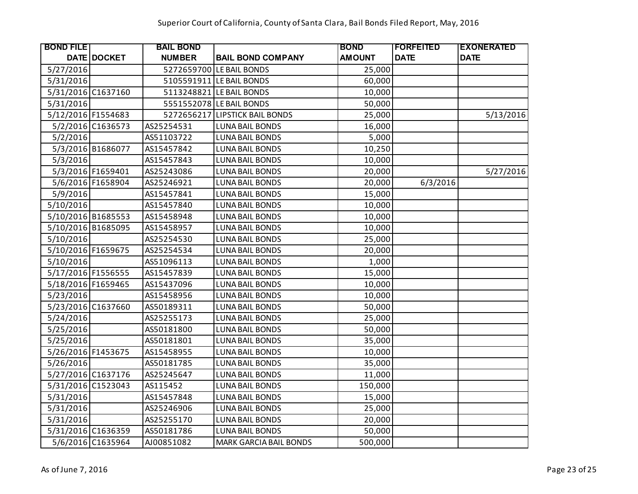| <b>BOND FILE</b>   |                   | <b>BAIL BOND</b> |                                | <b>BOND</b>   | <b> FORFEITED</b> | <b>EXONERATED</b> |
|--------------------|-------------------|------------------|--------------------------------|---------------|-------------------|-------------------|
|                    | DATE DOCKET       | <b>NUMBER</b>    | <b>BAIL BOND COMPANY</b>       | <b>AMOUNT</b> | <b>DATE</b>       | <b>DATE</b>       |
| 5/27/2016          |                   |                  | 5272659700 LE BAIL BONDS       | 25,000        |                   |                   |
| 5/31/2016          |                   |                  | 5105591911 LE BAIL BONDS       | 60,000        |                   |                   |
| 5/31/2016 C1637160 |                   |                  | 5113248821 LE BAIL BONDS       | 10,000        |                   |                   |
| 5/31/2016          |                   |                  | 5551552078 LE BAIL BONDS       | 50,000        |                   |                   |
| 5/12/2016 F1554683 |                   |                  | 5272656217 LIPSTICK BAIL BONDS | 25,000        |                   | 5/13/2016         |
|                    | 5/2/2016 C1636573 | AS25254531       | <b>LUNA BAIL BONDS</b>         | 16,000        |                   |                   |
| 5/2/2016           |                   | AS51103722       | <b>LUNA BAIL BONDS</b>         | 5,000         |                   |                   |
|                    | 5/3/2016 B1686077 | AS15457842       | <b>LUNA BAIL BONDS</b>         | 10,250        |                   |                   |
| 5/3/2016           |                   | AS15457843       | <b>LUNA BAIL BONDS</b>         | 10,000        |                   |                   |
|                    | 5/3/2016 F1659401 | AS25243086       | <b>LUNA BAIL BONDS</b>         | 20,000        |                   | 5/27/2016         |
|                    | 5/6/2016 F1658904 | AS25246921       | <b>LUNA BAIL BONDS</b>         | 20,000        | 6/3/2016          |                   |
| 5/9/2016           |                   | AS15457841       | <b>LUNA BAIL BONDS</b>         | 15,000        |                   |                   |
| 5/10/2016          |                   | AS15457840       | <b>LUNA BAIL BONDS</b>         | 10,000        |                   |                   |
| 5/10/2016 B1685553 |                   | AS15458948       | <b>LUNA BAIL BONDS</b>         | 10,000        |                   |                   |
| 5/10/2016 B1685095 |                   | AS15458957       | <b>LUNA BAIL BONDS</b>         | 10,000        |                   |                   |
| 5/10/2016          |                   | AS25254530       | <b>LUNA BAIL BONDS</b>         | 25,000        |                   |                   |
| 5/10/2016 F1659675 |                   | AS25254534       | <b>LUNA BAIL BONDS</b>         | 20,000        |                   |                   |
| 5/10/2016          |                   | AS51096113       | <b>LUNA BAIL BONDS</b>         | 1,000         |                   |                   |
| 5/17/2016 F1556555 |                   | AS15457839       | <b>LUNA BAIL BONDS</b>         | 15,000        |                   |                   |
| 5/18/2016 F1659465 |                   | AS15437096       | <b>LUNA BAIL BONDS</b>         | 10,000        |                   |                   |
| 5/23/2016          |                   | AS15458956       | <b>LUNA BAIL BONDS</b>         | 10,000        |                   |                   |
| 5/23/2016 C1637660 |                   | AS50189311       | <b>LUNA BAIL BONDS</b>         | 50,000        |                   |                   |
| 5/24/2016          |                   | AS25255173       | <b>LUNA BAIL BONDS</b>         | 25,000        |                   |                   |
| 5/25/2016          |                   | AS50181800       | <b>LUNA BAIL BONDS</b>         | 50,000        |                   |                   |
| 5/25/2016          |                   | AS50181801       | <b>LUNA BAIL BONDS</b>         | 35,000        |                   |                   |
| 5/26/2016 F1453675 |                   | AS15458955       | <b>LUNA BAIL BONDS</b>         | 10,000        |                   |                   |
| 5/26/2016          |                   | AS50181785       | <b>LUNA BAIL BONDS</b>         | 35,000        |                   |                   |
| 5/27/2016 C1637176 |                   | AS25245647       | <b>LUNA BAIL BONDS</b>         | 11,000        |                   |                   |
| 5/31/2016 C1523043 |                   | AS115452         | <b>LUNA BAIL BONDS</b>         | 150,000       |                   |                   |
| 5/31/2016          |                   | AS15457848       | <b>LUNA BAIL BONDS</b>         | 15,000        |                   |                   |
| 5/31/2016          |                   | AS25246906       | <b>LUNA BAIL BONDS</b>         | 25,000        |                   |                   |
| 5/31/2016          |                   | AS25255170       | <b>LUNA BAIL BONDS</b>         | 20,000        |                   |                   |
| 5/31/2016 C1636359 |                   | AS50181786       | <b>LUNA BAIL BONDS</b>         | 50,000        |                   |                   |
|                    | 5/6/2016 C1635964 | AJ00851082       | <b>MARK GARCIA BAIL BONDS</b>  | 500,000       |                   |                   |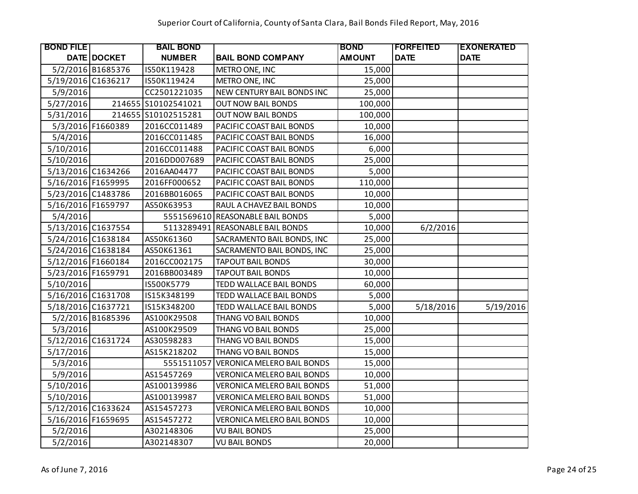| <b>BOND FILE</b>   |                   | <b>BAIL BOND</b>    |                                   | <b>BOND</b>   | <b> FORFEITED</b> | <b>EXONERATED</b> |
|--------------------|-------------------|---------------------|-----------------------------------|---------------|-------------------|-------------------|
|                    | DATE DOCKET       | <b>NUMBER</b>       | <b>BAIL BOND COMPANY</b>          | <b>AMOUNT</b> | <b>DATE</b>       | <b>DATE</b>       |
|                    | 5/2/2016 B1685376 | IS50K119428         | METRO ONE, INC                    | 15,000        |                   |                   |
| 5/19/2016 C1636217 |                   | IS50K119424         | METRO ONE, INC                    | 25,000        |                   |                   |
| 5/9/2016           |                   | CC2501221035        | NEW CENTURY BAIL BONDS INC        | 25,000        |                   |                   |
| 5/27/2016          |                   | 214655 S10102541021 | <b>OUT NOW BAIL BONDS</b>         | 100,000       |                   |                   |
| 5/31/2016          |                   | 214655 S10102515281 | <b>OUT NOW BAIL BONDS</b>         | 100,000       |                   |                   |
|                    | 5/3/2016 F1660389 | 2016CC011489        | PACIFIC COAST BAIL BONDS          | 10,000        |                   |                   |
| 5/4/2016           |                   | 2016CC011485        | PACIFIC COAST BAIL BONDS          | 16,000        |                   |                   |
| 5/10/2016          |                   | 2016CC011488        | PACIFIC COAST BAIL BONDS          | 6,000         |                   |                   |
| 5/10/2016          |                   | 2016DD007689        | PACIFIC COAST BAIL BONDS          | 25,000        |                   |                   |
| 5/13/2016 C1634266 |                   | 2016AA04477         | PACIFIC COAST BAIL BONDS          | 5,000         |                   |                   |
| 5/16/2016 F1659995 |                   | 2016FF000652        | PACIFIC COAST BAIL BONDS          | 110,000       |                   |                   |
| 5/23/2016 C1483786 |                   | 2016BB016065        | PACIFIC COAST BAIL BONDS          | 10,000        |                   |                   |
| 5/16/2016 F1659797 |                   | AS50K63953          | RAUL A CHAVEZ BAIL BONDS          | 10,000        |                   |                   |
| 5/4/2016           |                   |                     | 5551569610 REASONABLE BAIL BONDS  | 5,000         |                   |                   |
| 5/13/2016 C1637554 |                   | 5113289491          | <b>REASONABLE BAIL BONDS</b>      | 10,000        | 6/2/2016          |                   |
| 5/24/2016 C1638184 |                   | AS50K61360          | SACRAMENTO BAIL BONDS, INC        | 25,000        |                   |                   |
| 5/24/2016 C1638184 |                   | AS50K61361          | SACRAMENTO BAIL BONDS, INC        | 25,000        |                   |                   |
| 5/12/2016 F1660184 |                   | 2016CC002175        | <b>TAPOUT BAIL BONDS</b>          | 30,000        |                   |                   |
| 5/23/2016 F1659791 |                   | 2016BB003489        | <b>TAPOUT BAIL BONDS</b>          | 10,000        |                   |                   |
| 5/10/2016          |                   | IS500K5779          | TEDD WALLACE BAIL BONDS           | 60,000        |                   |                   |
| 5/16/2016 C1631708 |                   | IS15K348199         | TEDD WALLACE BAIL BONDS           | 5,000         |                   |                   |
| 5/18/2016 C1637721 |                   | IS15K348200         | TEDD WALLACE BAIL BONDS           | 5,000         | 5/18/2016         | 5/19/2016         |
|                    | 5/2/2016 B1685396 | AS100K29508         | THANG VO BAIL BONDS               | 10,000        |                   |                   |
| 5/3/2016           |                   | AS100K29509         | THANG VO BAIL BONDS               | 25,000        |                   |                   |
| 5/12/2016 C1631724 |                   | AS30598283          | THANG VO BAIL BONDS               | 15,000        |                   |                   |
| 5/17/2016          |                   | AS15K218202         | THANG VO BAIL BONDS               | 15,000        |                   |                   |
| 5/3/2016           |                   | 5551511057          | <b>VERONICA MELERO BAIL BONDS</b> | 15,000        |                   |                   |
| 5/9/2016           |                   | AS15457269          | VERONICA MELERO BAIL BONDS        | 10,000        |                   |                   |
| 5/10/2016          |                   | AS100139986         | <b>VERONICA MELERO BAIL BONDS</b> | 51,000        |                   |                   |
| 5/10/2016          |                   | AS100139987         | VERONICA MELERO BAIL BONDS        | 51,000        |                   |                   |
| 5/12/2016 C1633624 |                   | AS15457273          | VERONICA MELERO BAIL BONDS        | 10,000        |                   |                   |
| 5/16/2016 F1659695 |                   | AS15457272          | <b>VERONICA MELERO BAIL BONDS</b> | 10,000        |                   |                   |
| 5/2/2016           |                   | A302148306          | <b>VU BAIL BONDS</b>              | 25,000        |                   |                   |
| 5/2/2016           |                   | A302148307          | <b>VU BAIL BONDS</b>              | 20,000        |                   |                   |